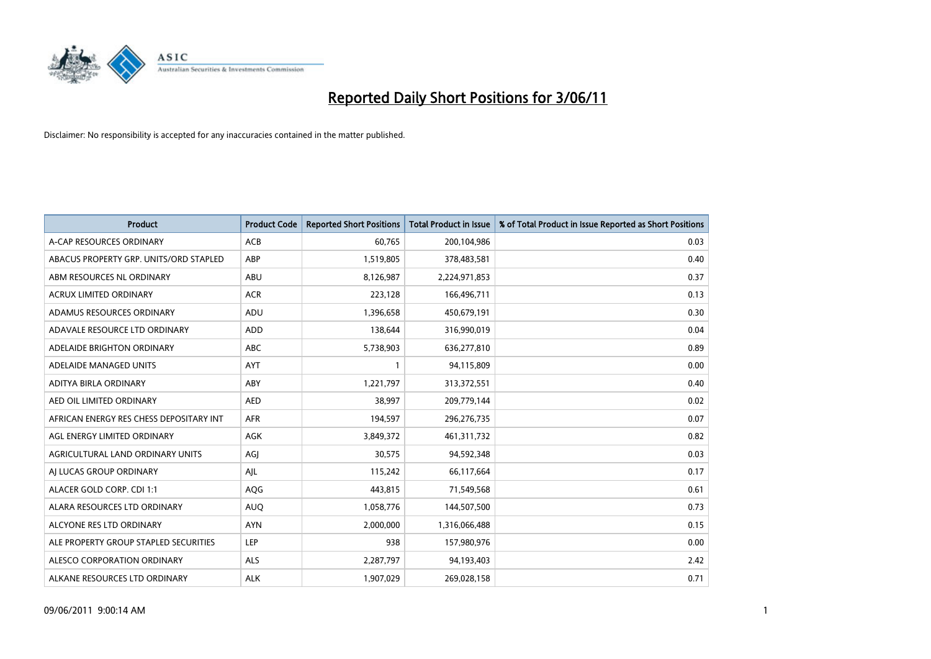

| <b>Product</b>                          | <b>Product Code</b> | <b>Reported Short Positions</b> | <b>Total Product in Issue</b> | % of Total Product in Issue Reported as Short Positions |
|-----------------------------------------|---------------------|---------------------------------|-------------------------------|---------------------------------------------------------|
| A-CAP RESOURCES ORDINARY                | <b>ACB</b>          | 60,765                          | 200,104,986                   | 0.03                                                    |
| ABACUS PROPERTY GRP. UNITS/ORD STAPLED  | ABP                 | 1,519,805                       | 378,483,581                   | 0.40                                                    |
| ABM RESOURCES NL ORDINARY               | ABU                 | 8,126,987                       | 2,224,971,853                 | 0.37                                                    |
| ACRUX LIMITED ORDINARY                  | <b>ACR</b>          | 223,128                         | 166,496,711                   | 0.13                                                    |
| ADAMUS RESOURCES ORDINARY               | ADU                 | 1,396,658                       | 450,679,191                   | 0.30                                                    |
| ADAVALE RESOURCE LTD ORDINARY           | <b>ADD</b>          | 138,644                         | 316,990,019                   | 0.04                                                    |
| ADELAIDE BRIGHTON ORDINARY              | <b>ABC</b>          | 5,738,903                       | 636,277,810                   | 0.89                                                    |
| ADELAIDE MANAGED UNITS                  | <b>AYT</b>          |                                 | 94,115,809                    | 0.00                                                    |
| ADITYA BIRLA ORDINARY                   | <b>ABY</b>          | 1,221,797                       | 313,372,551                   | 0.40                                                    |
| AED OIL LIMITED ORDINARY                | <b>AED</b>          | 38,997                          | 209,779,144                   | 0.02                                                    |
| AFRICAN ENERGY RES CHESS DEPOSITARY INT | <b>AFR</b>          | 194,597                         | 296,276,735                   | 0.07                                                    |
| AGL ENERGY LIMITED ORDINARY             | <b>AGK</b>          | 3,849,372                       | 461,311,732                   | 0.82                                                    |
| AGRICULTURAL LAND ORDINARY UNITS        | AGI                 | 30,575                          | 94,592,348                    | 0.03                                                    |
| AJ LUCAS GROUP ORDINARY                 | AJL                 | 115,242                         | 66,117,664                    | 0.17                                                    |
| ALACER GOLD CORP. CDI 1:1               | AQG                 | 443,815                         | 71,549,568                    | 0.61                                                    |
| ALARA RESOURCES LTD ORDINARY            | <b>AUQ</b>          | 1,058,776                       | 144,507,500                   | 0.73                                                    |
| ALCYONE RES LTD ORDINARY                | <b>AYN</b>          | 2,000,000                       | 1,316,066,488                 | 0.15                                                    |
| ALE PROPERTY GROUP STAPLED SECURITIES   | <b>LEP</b>          | 938                             | 157,980,976                   | 0.00                                                    |
| ALESCO CORPORATION ORDINARY             | <b>ALS</b>          | 2,287,797                       | 94,193,403                    | 2.42                                                    |
| ALKANE RESOURCES LTD ORDINARY           | <b>ALK</b>          | 1,907,029                       | 269,028,158                   | 0.71                                                    |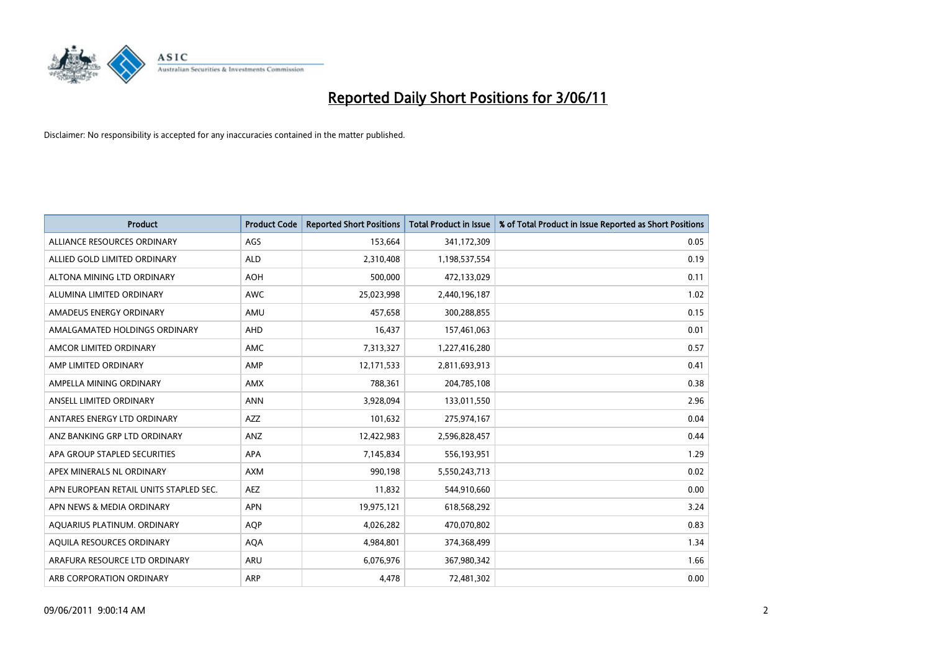

| <b>Product</b>                         | <b>Product Code</b> | <b>Reported Short Positions</b> | <b>Total Product in Issue</b> | % of Total Product in Issue Reported as Short Positions |
|----------------------------------------|---------------------|---------------------------------|-------------------------------|---------------------------------------------------------|
| ALLIANCE RESOURCES ORDINARY            | AGS                 | 153,664                         | 341,172,309                   | 0.05                                                    |
| ALLIED GOLD LIMITED ORDINARY           | <b>ALD</b>          | 2,310,408                       | 1,198,537,554                 | 0.19                                                    |
| ALTONA MINING LTD ORDINARY             | <b>AOH</b>          | 500,000                         | 472,133,029                   | 0.11                                                    |
| ALUMINA LIMITED ORDINARY               | <b>AWC</b>          | 25,023,998                      | 2,440,196,187                 | 1.02                                                    |
| AMADEUS ENERGY ORDINARY                | AMU                 | 457,658                         | 300,288,855                   | 0.15                                                    |
| AMALGAMATED HOLDINGS ORDINARY          | AHD                 | 16,437                          | 157,461,063                   | 0.01                                                    |
| AMCOR LIMITED ORDINARY                 | <b>AMC</b>          | 7,313,327                       | 1,227,416,280                 | 0.57                                                    |
| AMP LIMITED ORDINARY                   | AMP                 | 12,171,533                      | 2,811,693,913                 | 0.41                                                    |
| AMPELLA MINING ORDINARY                | <b>AMX</b>          | 788,361                         | 204,785,108                   | 0.38                                                    |
| ANSELL LIMITED ORDINARY                | <b>ANN</b>          | 3,928,094                       | 133,011,550                   | 2.96                                                    |
| ANTARES ENERGY LTD ORDINARY            | <b>AZZ</b>          | 101,632                         | 275,974,167                   | 0.04                                                    |
| ANZ BANKING GRP LTD ORDINARY           | ANZ                 | 12,422,983                      | 2,596,828,457                 | 0.44                                                    |
| APA GROUP STAPLED SECURITIES           | <b>APA</b>          | 7,145,834                       | 556,193,951                   | 1.29                                                    |
| APEX MINERALS NL ORDINARY              | <b>AXM</b>          | 990,198                         | 5,550,243,713                 | 0.02                                                    |
| APN EUROPEAN RETAIL UNITS STAPLED SEC. | <b>AEZ</b>          | 11,832                          | 544,910,660                   | 0.00                                                    |
| APN NEWS & MEDIA ORDINARY              | APN                 | 19,975,121                      | 618,568,292                   | 3.24                                                    |
| AQUARIUS PLATINUM. ORDINARY            | <b>AQP</b>          | 4,026,282                       | 470,070,802                   | 0.83                                                    |
| AQUILA RESOURCES ORDINARY              | <b>AQA</b>          | 4,984,801                       | 374,368,499                   | 1.34                                                    |
| ARAFURA RESOURCE LTD ORDINARY          | <b>ARU</b>          | 6,076,976                       | 367,980,342                   | 1.66                                                    |
| ARB CORPORATION ORDINARY               | ARP                 | 4,478                           | 72,481,302                    | 0.00                                                    |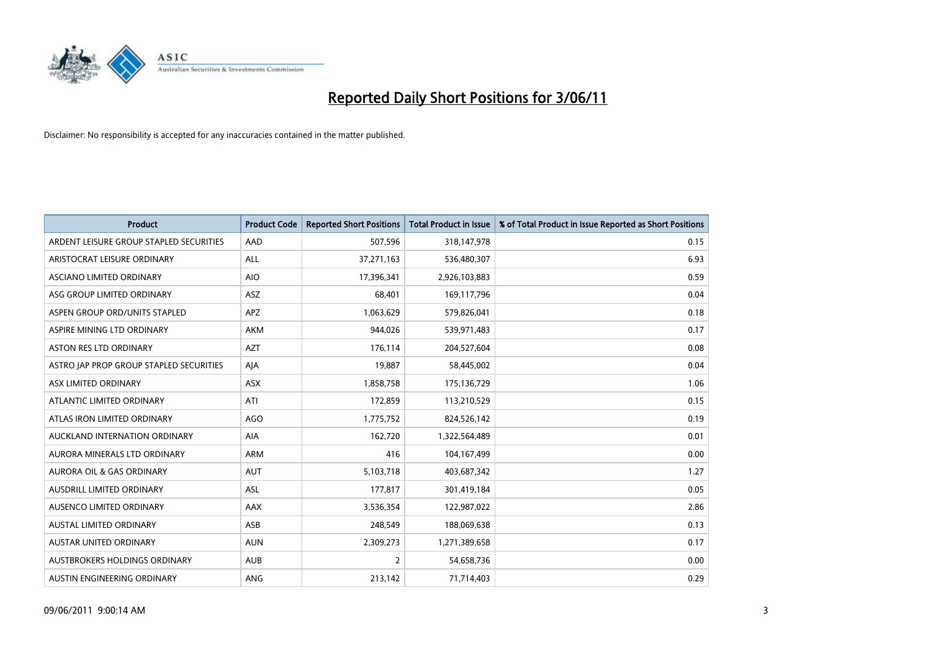

| <b>Product</b>                          | <b>Product Code</b> | <b>Reported Short Positions</b> | <b>Total Product in Issue</b> | % of Total Product in Issue Reported as Short Positions |
|-----------------------------------------|---------------------|---------------------------------|-------------------------------|---------------------------------------------------------|
| ARDENT LEISURE GROUP STAPLED SECURITIES | AAD                 | 507,596                         | 318,147,978                   | 0.15                                                    |
| ARISTOCRAT LEISURE ORDINARY             | ALL                 | 37,271,163                      | 536,480,307                   | 6.93                                                    |
| ASCIANO LIMITED ORDINARY                | <b>AIO</b>          | 17,396,341                      | 2,926,103,883                 | 0.59                                                    |
| ASG GROUP LIMITED ORDINARY              | ASZ                 | 68,401                          | 169,117,796                   | 0.04                                                    |
| ASPEN GROUP ORD/UNITS STAPLED           | APZ                 | 1,063,629                       | 579,826,041                   | 0.18                                                    |
| ASPIRE MINING LTD ORDINARY              | <b>AKM</b>          | 944.026                         | 539,971,483                   | 0.17                                                    |
| ASTON RES LTD ORDINARY                  | <b>AZT</b>          | 176,114                         | 204,527,604                   | 0.08                                                    |
| ASTRO JAP PROP GROUP STAPLED SECURITIES | AJA                 | 19,887                          | 58,445,002                    | 0.04                                                    |
| ASX LIMITED ORDINARY                    | <b>ASX</b>          | 1,858,758                       | 175,136,729                   | 1.06                                                    |
| ATLANTIC LIMITED ORDINARY               | ATI                 | 172,859                         | 113,210,529                   | 0.15                                                    |
| ATLAS IRON LIMITED ORDINARY             | <b>AGO</b>          | 1,775,752                       | 824,526,142                   | 0.19                                                    |
| AUCKLAND INTERNATION ORDINARY           | AIA                 | 162,720                         | 1,322,564,489                 | 0.01                                                    |
| AURORA MINERALS LTD ORDINARY            | <b>ARM</b>          | 416                             | 104,167,499                   | 0.00                                                    |
| <b>AURORA OIL &amp; GAS ORDINARY</b>    | <b>AUT</b>          | 5,103,718                       | 403,687,342                   | 1.27                                                    |
| AUSDRILL LIMITED ORDINARY               | <b>ASL</b>          | 177,817                         | 301,419,184                   | 0.05                                                    |
| AUSENCO LIMITED ORDINARY                | <b>AAX</b>          | 3,536,354                       | 122,987,022                   | 2.86                                                    |
| <b>AUSTAL LIMITED ORDINARY</b>          | ASB                 | 248,549                         | 188,069,638                   | 0.13                                                    |
| AUSTAR UNITED ORDINARY                  | <b>AUN</b>          | 2,309,273                       | 1,271,389,658                 | 0.17                                                    |
| AUSTBROKERS HOLDINGS ORDINARY           | <b>AUB</b>          | $\overline{2}$                  | 54,658,736                    | 0.00                                                    |
| AUSTIN ENGINEERING ORDINARY             | ANG                 | 213,142                         | 71,714,403                    | 0.29                                                    |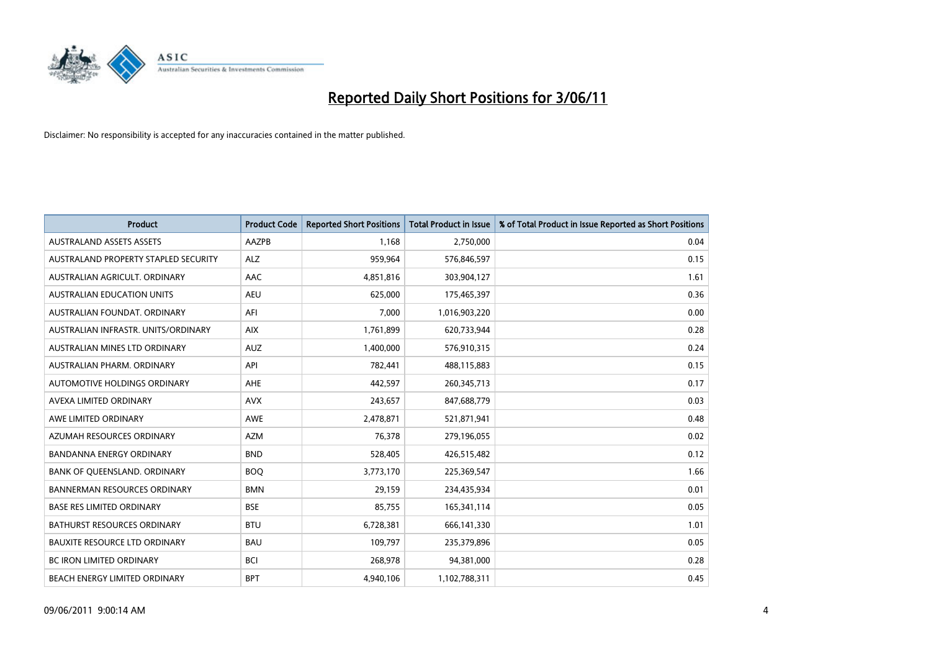

| <b>Product</b>                       | <b>Product Code</b> | <b>Reported Short Positions</b> | <b>Total Product in Issue</b> | % of Total Product in Issue Reported as Short Positions |
|--------------------------------------|---------------------|---------------------------------|-------------------------------|---------------------------------------------------------|
| <b>AUSTRALAND ASSETS ASSETS</b>      | <b>AAZPB</b>        | 1.168                           | 2,750,000                     | 0.04                                                    |
| AUSTRALAND PROPERTY STAPLED SECURITY | ALZ                 | 959,964                         | 576,846,597                   | 0.15                                                    |
| AUSTRALIAN AGRICULT, ORDINARY        | AAC                 | 4,851,816                       | 303,904,127                   | 1.61                                                    |
| <b>AUSTRALIAN EDUCATION UNITS</b>    | <b>AEU</b>          | 625,000                         | 175,465,397                   | 0.36                                                    |
| AUSTRALIAN FOUNDAT, ORDINARY         | AFI                 | 7,000                           | 1,016,903,220                 | 0.00                                                    |
| AUSTRALIAN INFRASTR. UNITS/ORDINARY  | <b>AIX</b>          | 1,761,899                       | 620,733,944                   | 0.28                                                    |
| AUSTRALIAN MINES LTD ORDINARY        | <b>AUZ</b>          | 1,400,000                       | 576,910,315                   | 0.24                                                    |
| AUSTRALIAN PHARM, ORDINARY           | API                 | 782,441                         | 488,115,883                   | 0.15                                                    |
| AUTOMOTIVE HOLDINGS ORDINARY         | <b>AHE</b>          | 442,597                         | 260,345,713                   | 0.17                                                    |
| AVEXA LIMITED ORDINARY               | <b>AVX</b>          | 243,657                         | 847,688,779                   | 0.03                                                    |
| AWE LIMITED ORDINARY                 | <b>AWE</b>          | 2,478,871                       | 521,871,941                   | 0.48                                                    |
| AZUMAH RESOURCES ORDINARY            | <b>AZM</b>          | 76,378                          | 279,196,055                   | 0.02                                                    |
| <b>BANDANNA ENERGY ORDINARY</b>      | <b>BND</b>          | 528,405                         | 426,515,482                   | 0.12                                                    |
| BANK OF QUEENSLAND. ORDINARY         | <b>BOQ</b>          | 3,773,170                       | 225,369,547                   | 1.66                                                    |
| <b>BANNERMAN RESOURCES ORDINARY</b>  | <b>BMN</b>          | 29,159                          | 234,435,934                   | 0.01                                                    |
| <b>BASE RES LIMITED ORDINARY</b>     | <b>BSE</b>          | 85,755                          | 165,341,114                   | 0.05                                                    |
| BATHURST RESOURCES ORDINARY          | <b>BTU</b>          | 6,728,381                       | 666,141,330                   | 1.01                                                    |
| <b>BAUXITE RESOURCE LTD ORDINARY</b> | <b>BAU</b>          | 109,797                         | 235,379,896                   | 0.05                                                    |
| BC IRON LIMITED ORDINARY             | <b>BCI</b>          | 268,978                         | 94,381,000                    | 0.28                                                    |
| BEACH ENERGY LIMITED ORDINARY        | <b>BPT</b>          | 4.940.106                       | 1,102,788,311                 | 0.45                                                    |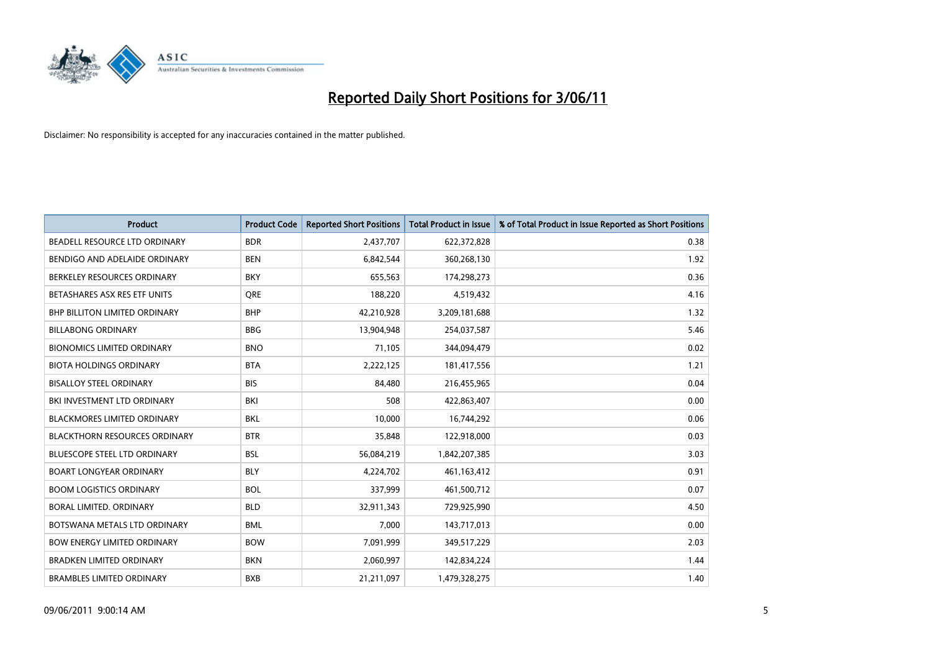

| <b>Product</b>                       | <b>Product Code</b> | <b>Reported Short Positions</b> | <b>Total Product in Issue</b> | % of Total Product in Issue Reported as Short Positions |
|--------------------------------------|---------------------|---------------------------------|-------------------------------|---------------------------------------------------------|
| BEADELL RESOURCE LTD ORDINARY        | <b>BDR</b>          | 2,437,707                       | 622,372,828                   | 0.38                                                    |
| BENDIGO AND ADELAIDE ORDINARY        | <b>BEN</b>          | 6,842,544                       | 360,268,130                   | 1.92                                                    |
| BERKELEY RESOURCES ORDINARY          | <b>BKY</b>          | 655,563                         | 174,298,273                   | 0.36                                                    |
| BETASHARES ASX RES ETF UNITS         | <b>ORE</b>          | 188,220                         | 4,519,432                     | 4.16                                                    |
| BHP BILLITON LIMITED ORDINARY        | <b>BHP</b>          | 42,210,928                      | 3,209,181,688                 | 1.32                                                    |
| <b>BILLABONG ORDINARY</b>            | <b>BBG</b>          | 13,904,948                      | 254,037,587                   | 5.46                                                    |
| <b>BIONOMICS LIMITED ORDINARY</b>    | <b>BNO</b>          | 71,105                          | 344,094,479                   | 0.02                                                    |
| <b>BIOTA HOLDINGS ORDINARY</b>       | <b>BTA</b>          | 2,222,125                       | 181,417,556                   | 1.21                                                    |
| <b>BISALLOY STEEL ORDINARY</b>       | <b>BIS</b>          | 84,480                          | 216,455,965                   | 0.04                                                    |
| BKI INVESTMENT LTD ORDINARY          | BKI                 | 508                             | 422,863,407                   | 0.00                                                    |
| <b>BLACKMORES LIMITED ORDINARY</b>   | <b>BKL</b>          | 10,000                          | 16,744,292                    | 0.06                                                    |
| <b>BLACKTHORN RESOURCES ORDINARY</b> | <b>BTR</b>          | 35,848                          | 122,918,000                   | 0.03                                                    |
| <b>BLUESCOPE STEEL LTD ORDINARY</b>  | <b>BSL</b>          | 56,084,219                      | 1,842,207,385                 | 3.03                                                    |
| <b>BOART LONGYEAR ORDINARY</b>       | <b>BLY</b>          | 4,224,702                       | 461,163,412                   | 0.91                                                    |
| <b>BOOM LOGISTICS ORDINARY</b>       | <b>BOL</b>          | 337,999                         | 461,500,712                   | 0.07                                                    |
| BORAL LIMITED. ORDINARY              | <b>BLD</b>          | 32,911,343                      | 729,925,990                   | 4.50                                                    |
| BOTSWANA METALS LTD ORDINARY         | <b>BML</b>          | 7,000                           | 143,717,013                   | 0.00                                                    |
| <b>BOW ENERGY LIMITED ORDINARY</b>   | <b>BOW</b>          | 7,091,999                       | 349,517,229                   | 2.03                                                    |
| <b>BRADKEN LIMITED ORDINARY</b>      | <b>BKN</b>          | 2,060,997                       | 142,834,224                   | 1.44                                                    |
| <b>BRAMBLES LIMITED ORDINARY</b>     | <b>BXB</b>          | 21,211,097                      | 1,479,328,275                 | 1.40                                                    |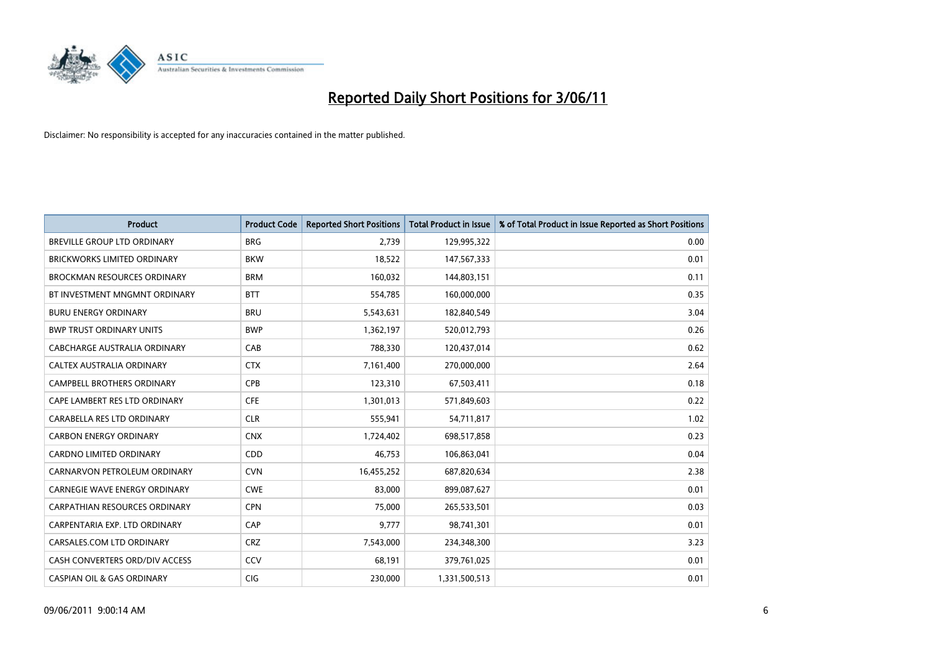

| <b>Product</b>                        | <b>Product Code</b> | <b>Reported Short Positions</b> | <b>Total Product in Issue</b> | % of Total Product in Issue Reported as Short Positions |
|---------------------------------------|---------------------|---------------------------------|-------------------------------|---------------------------------------------------------|
| <b>BREVILLE GROUP LTD ORDINARY</b>    | <b>BRG</b>          | 2.739                           | 129,995,322                   | 0.00                                                    |
| <b>BRICKWORKS LIMITED ORDINARY</b>    | <b>BKW</b>          | 18,522                          | 147,567,333                   | 0.01                                                    |
| <b>BROCKMAN RESOURCES ORDINARY</b>    | <b>BRM</b>          | 160,032                         | 144,803,151                   | 0.11                                                    |
| BT INVESTMENT MNGMNT ORDINARY         | <b>BTT</b>          | 554,785                         | 160,000,000                   | 0.35                                                    |
| <b>BURU ENERGY ORDINARY</b>           | <b>BRU</b>          | 5,543,631                       | 182,840,549                   | 3.04                                                    |
| <b>BWP TRUST ORDINARY UNITS</b>       | <b>BWP</b>          | 1,362,197                       | 520,012,793                   | 0.26                                                    |
| <b>CABCHARGE AUSTRALIA ORDINARY</b>   | CAB                 | 788,330                         | 120,437,014                   | 0.62                                                    |
| <b>CALTEX AUSTRALIA ORDINARY</b>      | <b>CTX</b>          | 7,161,400                       | 270,000,000                   | 2.64                                                    |
| CAMPBELL BROTHERS ORDINARY            | <b>CPB</b>          | 123,310                         | 67,503,411                    | 0.18                                                    |
| CAPE LAMBERT RES LTD ORDINARY         | <b>CFE</b>          | 1,301,013                       | 571,849,603                   | 0.22                                                    |
| CARABELLA RES LTD ORDINARY            | <b>CLR</b>          | 555,941                         | 54,711,817                    | 1.02                                                    |
| <b>CARBON ENERGY ORDINARY</b>         | <b>CNX</b>          | 1,724,402                       | 698,517,858                   | 0.23                                                    |
| <b>CARDNO LIMITED ORDINARY</b>        | CDD                 | 46,753                          | 106,863,041                   | 0.04                                                    |
| CARNARVON PETROLEUM ORDINARY          | <b>CVN</b>          | 16,455,252                      | 687,820,634                   | 2.38                                                    |
| <b>CARNEGIE WAVE ENERGY ORDINARY</b>  | <b>CWE</b>          | 83.000                          | 899,087,627                   | 0.01                                                    |
| <b>CARPATHIAN RESOURCES ORDINARY</b>  | <b>CPN</b>          | 75,000                          | 265,533,501                   | 0.03                                                    |
| CARPENTARIA EXP. LTD ORDINARY         | CAP                 | 9,777                           | 98,741,301                    | 0.01                                                    |
| CARSALES.COM LTD ORDINARY             | <b>CRZ</b>          | 7,543,000                       | 234,348,300                   | 3.23                                                    |
| CASH CONVERTERS ORD/DIV ACCESS        | CCV                 | 68,191                          | 379,761,025                   | 0.01                                                    |
| <b>CASPIAN OIL &amp; GAS ORDINARY</b> | CIG                 | 230,000                         | 1,331,500,513                 | 0.01                                                    |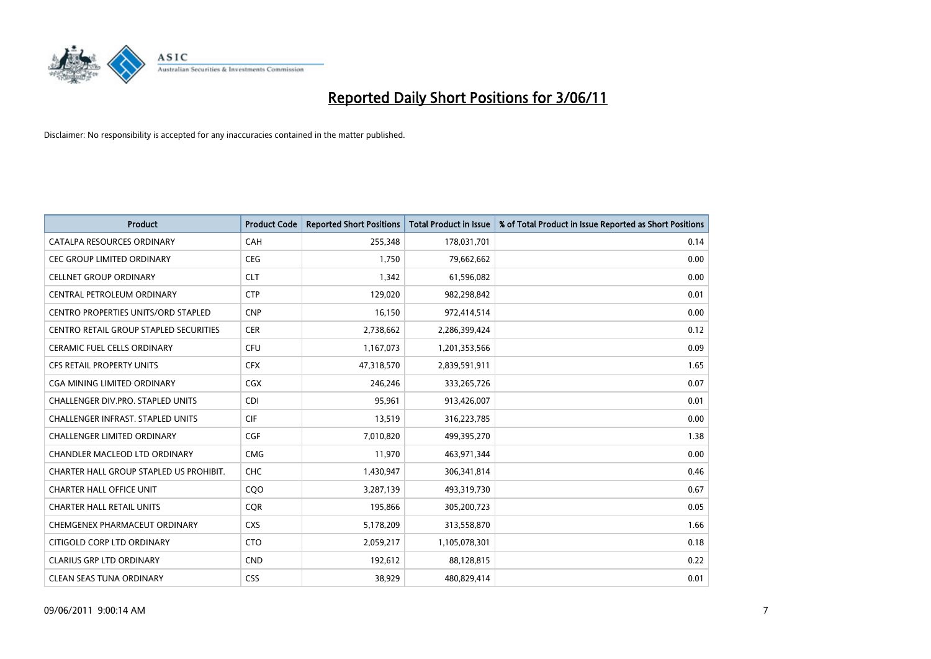

| <b>Product</b>                                | <b>Product Code</b> | <b>Reported Short Positions</b> | Total Product in Issue | % of Total Product in Issue Reported as Short Positions |
|-----------------------------------------------|---------------------|---------------------------------|------------------------|---------------------------------------------------------|
| CATALPA RESOURCES ORDINARY                    | CAH                 | 255,348                         | 178,031,701            | 0.14                                                    |
| CEC GROUP LIMITED ORDINARY                    | <b>CEG</b>          | 1,750                           | 79,662,662             | 0.00                                                    |
| <b>CELLNET GROUP ORDINARY</b>                 | <b>CLT</b>          | 1,342                           | 61,596,082             | 0.00                                                    |
| CENTRAL PETROLEUM ORDINARY                    | <b>CTP</b>          | 129,020                         | 982,298,842            | 0.01                                                    |
| CENTRO PROPERTIES UNITS/ORD STAPLED           | <b>CNP</b>          | 16,150                          | 972,414,514            | 0.00                                                    |
| <b>CENTRO RETAIL GROUP STAPLED SECURITIES</b> | <b>CER</b>          | 2,738,662                       | 2,286,399,424          | 0.12                                                    |
| <b>CERAMIC FUEL CELLS ORDINARY</b>            | <b>CFU</b>          | 1,167,073                       | 1,201,353,566          | 0.09                                                    |
| <b>CFS RETAIL PROPERTY UNITS</b>              | <b>CFX</b>          | 47,318,570                      | 2,839,591,911          | 1.65                                                    |
| CGA MINING LIMITED ORDINARY                   | CGX                 | 246,246                         | 333, 265, 726          | 0.07                                                    |
| <b>CHALLENGER DIV.PRO. STAPLED UNITS</b>      | <b>CDI</b>          | 95,961                          | 913,426,007            | 0.01                                                    |
| CHALLENGER INFRAST. STAPLED UNITS             | <b>CIF</b>          | 13,519                          | 316,223,785            | 0.00                                                    |
| <b>CHALLENGER LIMITED ORDINARY</b>            | CGF                 | 7,010,820                       | 499,395,270            | 1.38                                                    |
| <b>CHANDLER MACLEOD LTD ORDINARY</b>          | <b>CMG</b>          | 11,970                          | 463,971,344            | 0.00                                                    |
| CHARTER HALL GROUP STAPLED US PROHIBIT.       | <b>CHC</b>          | 1,430,947                       | 306,341,814            | 0.46                                                    |
| <b>CHARTER HALL OFFICE UNIT</b>               | COO                 | 3,287,139                       | 493,319,730            | 0.67                                                    |
| <b>CHARTER HALL RETAIL UNITS</b>              | <b>COR</b>          | 195,866                         | 305,200,723            | 0.05                                                    |
| CHEMGENEX PHARMACEUT ORDINARY                 | <b>CXS</b>          | 5,178,209                       | 313,558,870            | 1.66                                                    |
| CITIGOLD CORP LTD ORDINARY                    | <b>CTO</b>          | 2,059,217                       | 1,105,078,301          | 0.18                                                    |
| <b>CLARIUS GRP LTD ORDINARY</b>               | <b>CND</b>          | 192,612                         | 88,128,815             | 0.22                                                    |
| <b>CLEAN SEAS TUNA ORDINARY</b>               | <b>CSS</b>          | 38,929                          | 480,829,414            | 0.01                                                    |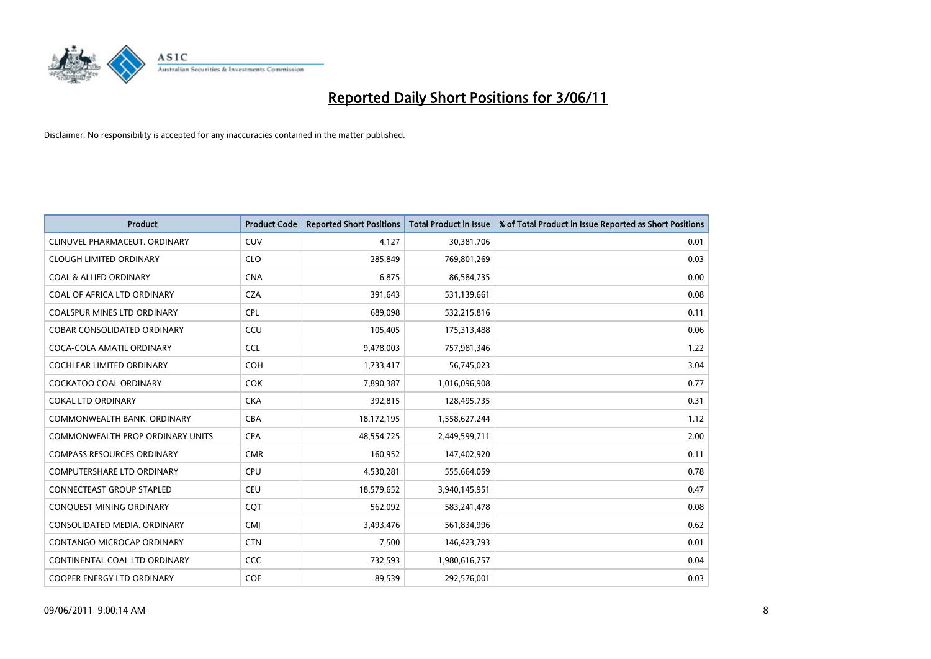

| <b>Product</b>                          | <b>Product Code</b> | <b>Reported Short Positions</b> | <b>Total Product in Issue</b> | % of Total Product in Issue Reported as Short Positions |
|-----------------------------------------|---------------------|---------------------------------|-------------------------------|---------------------------------------------------------|
| CLINUVEL PHARMACEUT. ORDINARY           | CUV                 | 4,127                           | 30,381,706                    | 0.01                                                    |
| <b>CLOUGH LIMITED ORDINARY</b>          | <b>CLO</b>          | 285,849                         | 769,801,269                   | 0.03                                                    |
| <b>COAL &amp; ALLIED ORDINARY</b>       | <b>CNA</b>          | 6,875                           | 86,584,735                    | 0.00                                                    |
| COAL OF AFRICA LTD ORDINARY             | <b>CZA</b>          | 391,643                         | 531,139,661                   | 0.08                                                    |
| <b>COALSPUR MINES LTD ORDINARY</b>      | <b>CPL</b>          | 689,098                         | 532,215,816                   | 0.11                                                    |
| <b>COBAR CONSOLIDATED ORDINARY</b>      | CCU                 | 105,405                         | 175,313,488                   | 0.06                                                    |
| COCA-COLA AMATIL ORDINARY               | <b>CCL</b>          | 9,478,003                       | 757,981,346                   | 1.22                                                    |
| COCHLEAR LIMITED ORDINARY               | <b>COH</b>          | 1,733,417                       | 56,745,023                    | 3.04                                                    |
| COCKATOO COAL ORDINARY                  | <b>COK</b>          | 7,890,387                       | 1,016,096,908                 | 0.77                                                    |
| <b>COKAL LTD ORDINARY</b>               | <b>CKA</b>          | 392,815                         | 128,495,735                   | 0.31                                                    |
| COMMONWEALTH BANK, ORDINARY             | <b>CBA</b>          | 18,172,195                      | 1,558,627,244                 | 1.12                                                    |
| <b>COMMONWEALTH PROP ORDINARY UNITS</b> | <b>CPA</b>          | 48,554,725                      | 2,449,599,711                 | 2.00                                                    |
| <b>COMPASS RESOURCES ORDINARY</b>       | <b>CMR</b>          | 160,952                         | 147,402,920                   | 0.11                                                    |
| <b>COMPUTERSHARE LTD ORDINARY</b>       | <b>CPU</b>          | 4,530,281                       | 555,664,059                   | 0.78                                                    |
| <b>CONNECTEAST GROUP STAPLED</b>        | CEU                 | 18,579,652                      | 3,940,145,951                 | 0.47                                                    |
| CONQUEST MINING ORDINARY                | COT                 | 562,092                         | 583,241,478                   | 0.08                                                    |
| CONSOLIDATED MEDIA, ORDINARY            | <b>CMI</b>          | 3,493,476                       | 561,834,996                   | 0.62                                                    |
| CONTANGO MICROCAP ORDINARY              | <b>CTN</b>          | 7,500                           | 146,423,793                   | 0.01                                                    |
| CONTINENTAL COAL LTD ORDINARY           | CCC                 | 732,593                         | 1,980,616,757                 | 0.04                                                    |
| <b>COOPER ENERGY LTD ORDINARY</b>       | <b>COE</b>          | 89,539                          | 292,576,001                   | 0.03                                                    |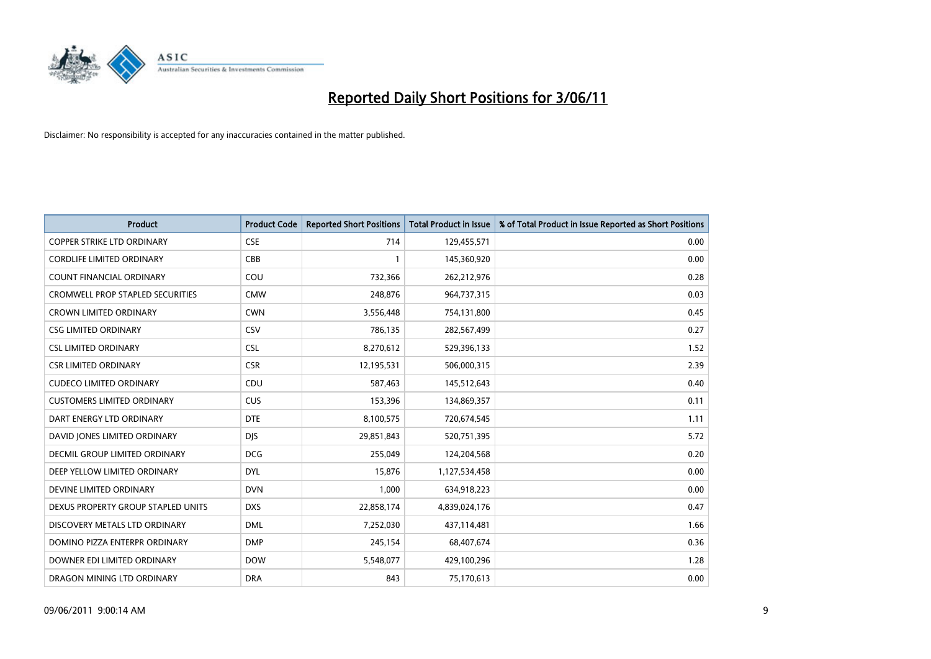

| <b>Product</b>                          | <b>Product Code</b> | <b>Reported Short Positions</b> | Total Product in Issue | % of Total Product in Issue Reported as Short Positions |
|-----------------------------------------|---------------------|---------------------------------|------------------------|---------------------------------------------------------|
| <b>COPPER STRIKE LTD ORDINARY</b>       | <b>CSE</b>          | 714                             | 129,455,571            | 0.00                                                    |
| <b>CORDLIFE LIMITED ORDINARY</b>        | CBB                 |                                 | 145,360,920            | 0.00                                                    |
| <b>COUNT FINANCIAL ORDINARY</b>         | COU                 | 732,366                         | 262,212,976            | 0.28                                                    |
| <b>CROMWELL PROP STAPLED SECURITIES</b> | <b>CMW</b>          | 248,876                         | 964,737,315            | 0.03                                                    |
| <b>CROWN LIMITED ORDINARY</b>           | <b>CWN</b>          | 3,556,448                       | 754,131,800            | 0.45                                                    |
| <b>CSG LIMITED ORDINARY</b>             | CSV                 | 786,135                         | 282,567,499            | 0.27                                                    |
| <b>CSL LIMITED ORDINARY</b>             | <b>CSL</b>          | 8,270,612                       | 529,396,133            | 1.52                                                    |
| <b>CSR LIMITED ORDINARY</b>             | <b>CSR</b>          | 12,195,531                      | 506,000,315            | 2.39                                                    |
| <b>CUDECO LIMITED ORDINARY</b>          | CDU                 | 587,463                         | 145,512,643            | 0.40                                                    |
| <b>CUSTOMERS LIMITED ORDINARY</b>       | CUS                 | 153,396                         | 134,869,357            | 0.11                                                    |
| DART ENERGY LTD ORDINARY                | <b>DTE</b>          | 8,100,575                       | 720,674,545            | 1.11                                                    |
| DAVID JONES LIMITED ORDINARY            | <b>DJS</b>          | 29,851,843                      | 520,751,395            | 5.72                                                    |
| DECMIL GROUP LIMITED ORDINARY           | <b>DCG</b>          | 255,049                         | 124,204,568            | 0.20                                                    |
| DEEP YELLOW LIMITED ORDINARY            | <b>DYL</b>          | 15,876                          | 1,127,534,458          | 0.00                                                    |
| DEVINE LIMITED ORDINARY                 | <b>DVN</b>          | 1,000                           | 634,918,223            | 0.00                                                    |
| DEXUS PROPERTY GROUP STAPLED UNITS      | <b>DXS</b>          | 22,858,174                      | 4,839,024,176          | 0.47                                                    |
| DISCOVERY METALS LTD ORDINARY           | <b>DML</b>          | 7,252,030                       | 437,114,481            | 1.66                                                    |
| DOMINO PIZZA ENTERPR ORDINARY           | <b>DMP</b>          | 245,154                         | 68,407,674             | 0.36                                                    |
| DOWNER EDI LIMITED ORDINARY             | <b>DOW</b>          | 5,548,077                       | 429,100,296            | 1.28                                                    |
| DRAGON MINING LTD ORDINARY              | <b>DRA</b>          | 843                             | 75,170,613             | 0.00                                                    |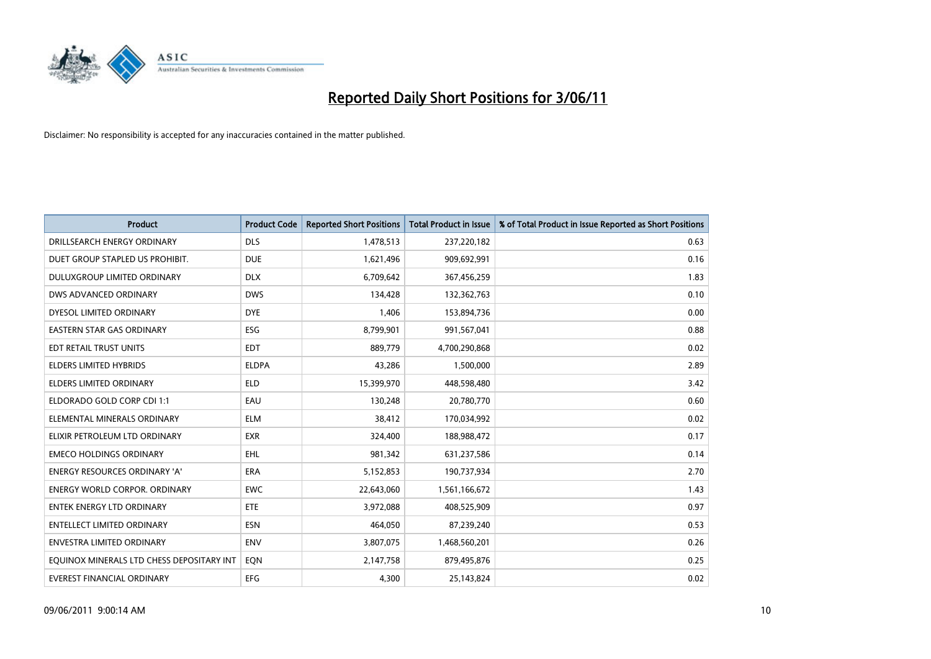

| <b>Product</b>                            | <b>Product Code</b> | <b>Reported Short Positions</b> | Total Product in Issue | % of Total Product in Issue Reported as Short Positions |
|-------------------------------------------|---------------------|---------------------------------|------------------------|---------------------------------------------------------|
| DRILLSEARCH ENERGY ORDINARY               | <b>DLS</b>          | 1,478,513                       | 237,220,182            | 0.63                                                    |
| DUET GROUP STAPLED US PROHIBIT.           | <b>DUE</b>          | 1,621,496                       | 909,692,991            | 0.16                                                    |
| DULUXGROUP LIMITED ORDINARY               | <b>DLX</b>          | 6,709,642                       | 367,456,259            | 1.83                                                    |
| DWS ADVANCED ORDINARY                     | <b>DWS</b>          | 134,428                         | 132,362,763            | 0.10                                                    |
| DYESOL LIMITED ORDINARY                   | <b>DYE</b>          | 1,406                           | 153,894,736            | 0.00                                                    |
| <b>EASTERN STAR GAS ORDINARY</b>          | ESG                 | 8,799,901                       | 991,567,041            | 0.88                                                    |
| EDT RETAIL TRUST UNITS                    | <b>EDT</b>          | 889.779                         | 4,700,290,868          | 0.02                                                    |
| <b>ELDERS LIMITED HYBRIDS</b>             | <b>ELDPA</b>        | 43,286                          | 1,500,000              | 2.89                                                    |
| ELDERS LIMITED ORDINARY                   | <b>ELD</b>          | 15,399,970                      | 448,598,480            | 3.42                                                    |
| ELDORADO GOLD CORP CDI 1:1                | EAU                 | 130,248                         | 20,780,770             | 0.60                                                    |
| ELEMENTAL MINERALS ORDINARY               | <b>ELM</b>          | 38,412                          | 170,034,992            | 0.02                                                    |
| ELIXIR PETROLEUM LTD ORDINARY             | <b>EXR</b>          | 324,400                         | 188,988,472            | 0.17                                                    |
| <b>EMECO HOLDINGS ORDINARY</b>            | <b>EHL</b>          | 981,342                         | 631,237,586            | 0.14                                                    |
| <b>ENERGY RESOURCES ORDINARY 'A'</b>      | ERA                 | 5,152,853                       | 190,737,934            | 2.70                                                    |
| <b>ENERGY WORLD CORPOR, ORDINARY</b>      | <b>EWC</b>          | 22,643,060                      | 1,561,166,672          | 1.43                                                    |
| ENTEK ENERGY LTD ORDINARY                 | <b>ETE</b>          | 3,972,088                       | 408,525,909            | 0.97                                                    |
| <b>ENTELLECT LIMITED ORDINARY</b>         | <b>ESN</b>          | 464,050                         | 87,239,240             | 0.53                                                    |
| <b>ENVESTRA LIMITED ORDINARY</b>          | <b>ENV</b>          | 3,807,075                       | 1,468,560,201          | 0.26                                                    |
| EQUINOX MINERALS LTD CHESS DEPOSITARY INT | EON                 | 2,147,758                       | 879,495,876            | 0.25                                                    |
| EVEREST FINANCIAL ORDINARY                | <b>EFG</b>          | 4,300                           | 25,143,824             | 0.02                                                    |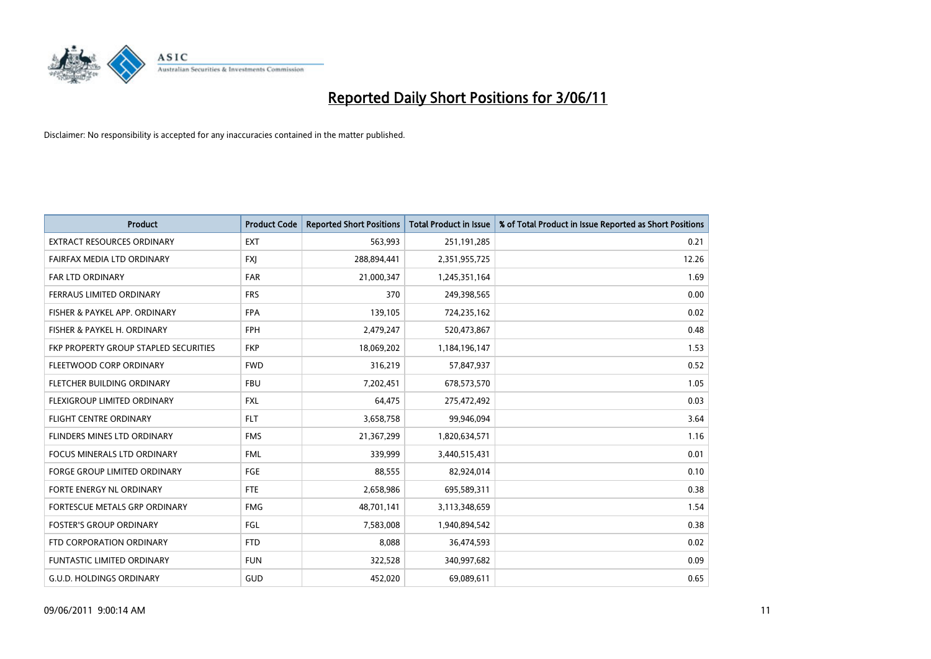

| <b>Product</b>                               | <b>Product Code</b> | <b>Reported Short Positions</b> | <b>Total Product in Issue</b> | % of Total Product in Issue Reported as Short Positions |
|----------------------------------------------|---------------------|---------------------------------|-------------------------------|---------------------------------------------------------|
| <b>EXTRACT RESOURCES ORDINARY</b>            | <b>EXT</b>          | 563,993                         | 251,191,285                   | 0.21                                                    |
| FAIRFAX MEDIA LTD ORDINARY                   | <b>FXI</b>          | 288,894,441                     | 2,351,955,725                 | 12.26                                                   |
| <b>FAR LTD ORDINARY</b>                      | <b>FAR</b>          | 21,000,347                      | 1,245,351,164                 | 1.69                                                    |
| FERRAUS LIMITED ORDINARY                     | <b>FRS</b>          | 370                             | 249,398,565                   | 0.00                                                    |
| FISHER & PAYKEL APP. ORDINARY                | <b>FPA</b>          | 139,105                         | 724,235,162                   | 0.02                                                    |
| FISHER & PAYKEL H. ORDINARY                  | <b>FPH</b>          | 2,479,247                       | 520,473,867                   | 0.48                                                    |
| <b>FKP PROPERTY GROUP STAPLED SECURITIES</b> | <b>FKP</b>          | 18,069,202                      | 1,184,196,147                 | 1.53                                                    |
| FLEETWOOD CORP ORDINARY                      | <b>FWD</b>          | 316,219                         | 57,847,937                    | 0.52                                                    |
| FLETCHER BUILDING ORDINARY                   | <b>FBU</b>          | 7,202,451                       | 678,573,570                   | 1.05                                                    |
| FLEXIGROUP LIMITED ORDINARY                  | <b>FXL</b>          | 64,475                          | 275,472,492                   | 0.03                                                    |
| FLIGHT CENTRE ORDINARY                       | <b>FLT</b>          | 3,658,758                       | 99,946,094                    | 3.64                                                    |
| FLINDERS MINES LTD ORDINARY                  | <b>FMS</b>          | 21,367,299                      | 1,820,634,571                 | 1.16                                                    |
| <b>FOCUS MINERALS LTD ORDINARY</b>           | <b>FML</b>          | 339,999                         | 3,440,515,431                 | 0.01                                                    |
| <b>FORGE GROUP LIMITED ORDINARY</b>          | FGE                 | 88,555                          | 82,924,014                    | 0.10                                                    |
| <b>FORTE ENERGY NL ORDINARY</b>              | <b>FTE</b>          | 2,658,986                       | 695,589,311                   | 0.38                                                    |
| FORTESCUE METALS GRP ORDINARY                | <b>FMG</b>          | 48,701,141                      | 3,113,348,659                 | 1.54                                                    |
| <b>FOSTER'S GROUP ORDINARY</b>               | <b>FGL</b>          | 7,583,008                       | 1,940,894,542                 | 0.38                                                    |
| FTD CORPORATION ORDINARY                     | <b>FTD</b>          | 8,088                           | 36,474,593                    | 0.02                                                    |
| FUNTASTIC LIMITED ORDINARY                   | <b>FUN</b>          | 322,528                         | 340,997,682                   | 0.09                                                    |
| G.U.D. HOLDINGS ORDINARY                     | GUD                 | 452,020                         | 69,089,611                    | 0.65                                                    |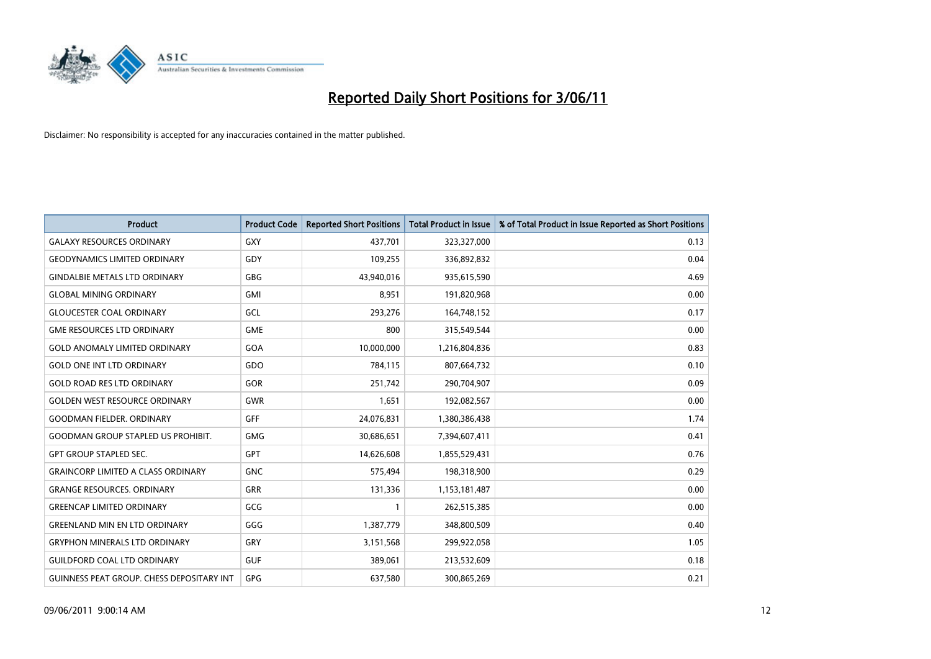

| <b>Product</b>                                   | <b>Product Code</b> | <b>Reported Short Positions</b> | <b>Total Product in Issue</b> | % of Total Product in Issue Reported as Short Positions |
|--------------------------------------------------|---------------------|---------------------------------|-------------------------------|---------------------------------------------------------|
| <b>GALAXY RESOURCES ORDINARY</b>                 | GXY                 | 437,701                         | 323,327,000                   | 0.13                                                    |
| <b>GEODYNAMICS LIMITED ORDINARY</b>              | GDY                 | 109,255                         | 336,892,832                   | 0.04                                                    |
| <b>GINDALBIE METALS LTD ORDINARY</b>             | <b>GBG</b>          | 43,940,016                      | 935,615,590                   | 4.69                                                    |
| <b>GLOBAL MINING ORDINARY</b>                    | <b>GMI</b>          | 8,951                           | 191,820,968                   | 0.00                                                    |
| <b>GLOUCESTER COAL ORDINARY</b>                  | GCL                 | 293,276                         | 164,748,152                   | 0.17                                                    |
| <b>GME RESOURCES LTD ORDINARY</b>                | <b>GME</b>          | 800                             | 315,549,544                   | 0.00                                                    |
| <b>GOLD ANOMALY LIMITED ORDINARY</b>             | GOA                 | 10,000,000                      | 1,216,804,836                 | 0.83                                                    |
| <b>GOLD ONE INT LTD ORDINARY</b>                 | GDO                 | 784,115                         | 807,664,732                   | 0.10                                                    |
| <b>GOLD ROAD RES LTD ORDINARY</b>                | GOR                 | 251,742                         | 290,704,907                   | 0.09                                                    |
| <b>GOLDEN WEST RESOURCE ORDINARY</b>             | <b>GWR</b>          | 1,651                           | 192,082,567                   | 0.00                                                    |
| <b>GOODMAN FIELDER, ORDINARY</b>                 | <b>GFF</b>          | 24,076,831                      | 1,380,386,438                 | 1.74                                                    |
| <b>GOODMAN GROUP STAPLED US PROHIBIT.</b>        | <b>GMG</b>          | 30,686,651                      | 7,394,607,411                 | 0.41                                                    |
| <b>GPT GROUP STAPLED SEC.</b>                    | <b>GPT</b>          | 14,626,608                      | 1,855,529,431                 | 0.76                                                    |
| <b>GRAINCORP LIMITED A CLASS ORDINARY</b>        | <b>GNC</b>          | 575,494                         | 198,318,900                   | 0.29                                                    |
| <b>GRANGE RESOURCES, ORDINARY</b>                | <b>GRR</b>          | 131,336                         | 1,153,181,487                 | 0.00                                                    |
| <b>GREENCAP LIMITED ORDINARY</b>                 | GCG                 |                                 | 262,515,385                   | 0.00                                                    |
| <b>GREENLAND MIN EN LTD ORDINARY</b>             | GGG                 | 1,387,779                       | 348,800,509                   | 0.40                                                    |
| <b>GRYPHON MINERALS LTD ORDINARY</b>             | GRY                 | 3,151,568                       | 299,922,058                   | 1.05                                                    |
| <b>GUILDFORD COAL LTD ORDINARY</b>               | <b>GUF</b>          | 389,061                         | 213,532,609                   | 0.18                                                    |
| <b>GUINNESS PEAT GROUP. CHESS DEPOSITARY INT</b> | GPG                 | 637,580                         | 300,865,269                   | 0.21                                                    |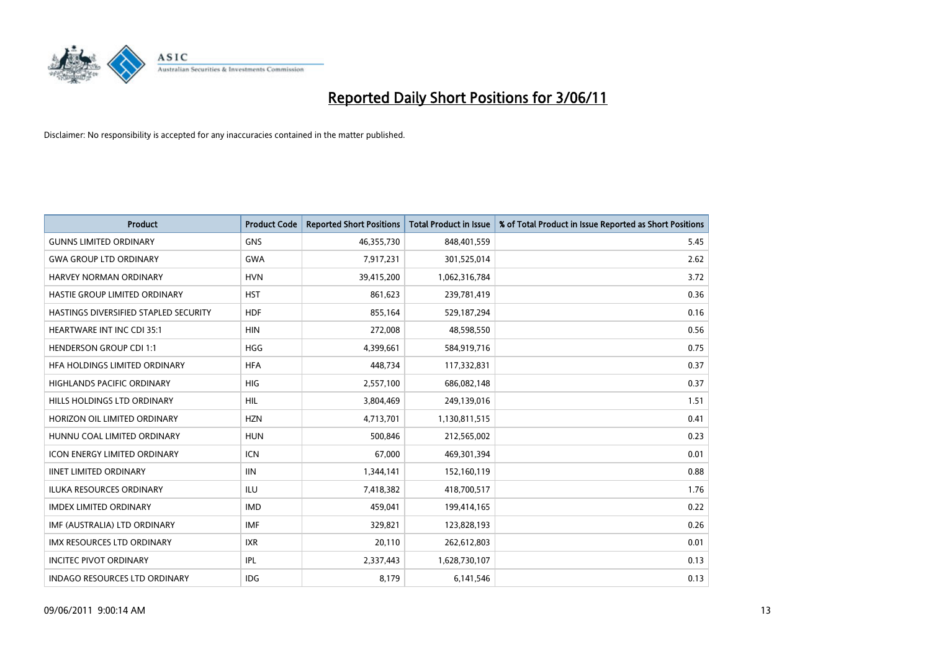

| <b>Product</b>                        | <b>Product Code</b> | <b>Reported Short Positions</b> | <b>Total Product in Issue</b> | % of Total Product in Issue Reported as Short Positions |
|---------------------------------------|---------------------|---------------------------------|-------------------------------|---------------------------------------------------------|
| <b>GUNNS LIMITED ORDINARY</b>         | <b>GNS</b>          | 46,355,730                      | 848,401,559                   | 5.45                                                    |
| <b>GWA GROUP LTD ORDINARY</b>         | <b>GWA</b>          | 7,917,231                       | 301,525,014                   | 2.62                                                    |
| HARVEY NORMAN ORDINARY                | <b>HVN</b>          | 39,415,200                      | 1,062,316,784                 | 3.72                                                    |
| HASTIE GROUP LIMITED ORDINARY         | <b>HST</b>          | 861,623                         | 239,781,419                   | 0.36                                                    |
| HASTINGS DIVERSIFIED STAPLED SECURITY | <b>HDF</b>          | 855,164                         | 529,187,294                   | 0.16                                                    |
| <b>HEARTWARE INT INC CDI 35:1</b>     | <b>HIN</b>          | 272,008                         | 48,598,550                    | 0.56                                                    |
| <b>HENDERSON GROUP CDI 1:1</b>        | <b>HGG</b>          | 4,399,661                       | 584,919,716                   | 0.75                                                    |
| HFA HOLDINGS LIMITED ORDINARY         | <b>HFA</b>          | 448,734                         | 117,332,831                   | 0.37                                                    |
| HIGHLANDS PACIFIC ORDINARY            | <b>HIG</b>          | 2,557,100                       | 686,082,148                   | 0.37                                                    |
| HILLS HOLDINGS LTD ORDINARY           | <b>HIL</b>          | 3,804,469                       | 249,139,016                   | 1.51                                                    |
| HORIZON OIL LIMITED ORDINARY          | <b>HZN</b>          | 4,713,701                       | 1,130,811,515                 | 0.41                                                    |
| HUNNU COAL LIMITED ORDINARY           | <b>HUN</b>          | 500,846                         | 212,565,002                   | 0.23                                                    |
| <b>ICON ENERGY LIMITED ORDINARY</b>   | <b>ICN</b>          | 67.000                          | 469,301,394                   | 0.01                                                    |
| <b>IINET LIMITED ORDINARY</b>         | <b>IIN</b>          | 1,344,141                       | 152,160,119                   | 0.88                                                    |
| <b>ILUKA RESOURCES ORDINARY</b>       | <b>ILU</b>          | 7,418,382                       | 418,700,517                   | 1.76                                                    |
| <b>IMDEX LIMITED ORDINARY</b>         | <b>IMD</b>          | 459,041                         | 199,414,165                   | 0.22                                                    |
| IMF (AUSTRALIA) LTD ORDINARY          | <b>IMF</b>          | 329,821                         | 123,828,193                   | 0.26                                                    |
| IMX RESOURCES LTD ORDINARY            | <b>IXR</b>          | 20,110                          | 262,612,803                   | 0.01                                                    |
| <b>INCITEC PIVOT ORDINARY</b>         | IPL                 | 2,337,443                       | 1,628,730,107                 | 0.13                                                    |
| <b>INDAGO RESOURCES LTD ORDINARY</b>  | <b>IDG</b>          | 8,179                           | 6,141,546                     | 0.13                                                    |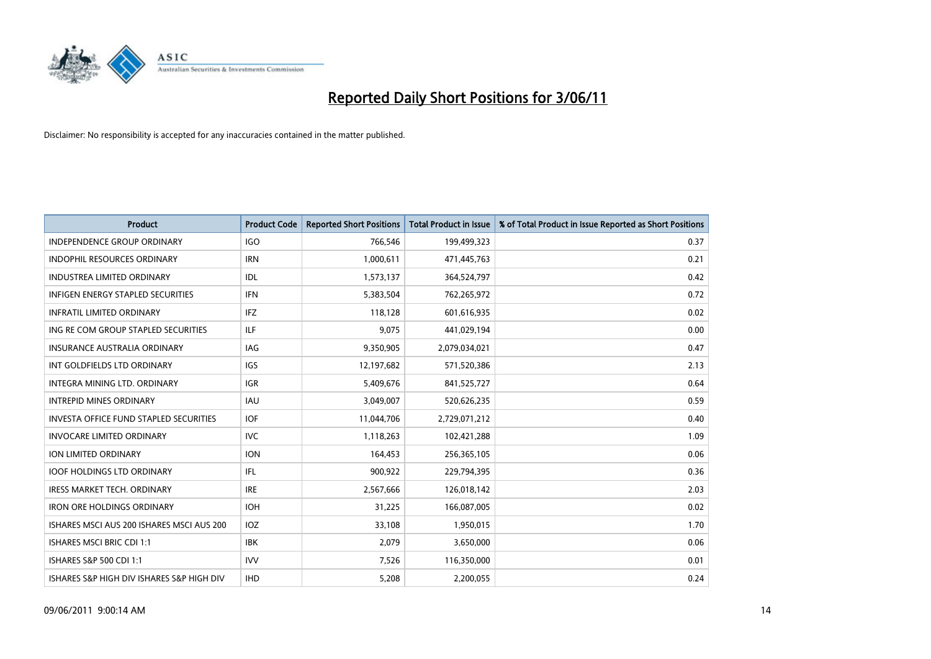

| <b>Product</b>                                | <b>Product Code</b> | <b>Reported Short Positions</b> | <b>Total Product in Issue</b> | % of Total Product in Issue Reported as Short Positions |
|-----------------------------------------------|---------------------|---------------------------------|-------------------------------|---------------------------------------------------------|
| <b>INDEPENDENCE GROUP ORDINARY</b>            | <b>IGO</b>          | 766,546                         | 199,499,323                   | 0.37                                                    |
| INDOPHIL RESOURCES ORDINARY                   | <b>IRN</b>          | 1,000,611                       | 471,445,763                   | 0.21                                                    |
| <b>INDUSTREA LIMITED ORDINARY</b>             | IDL                 | 1,573,137                       | 364,524,797                   | 0.42                                                    |
| INFIGEN ENERGY STAPLED SECURITIES             | <b>IFN</b>          | 5,383,504                       | 762,265,972                   | 0.72                                                    |
| <b>INFRATIL LIMITED ORDINARY</b>              | <b>IFZ</b>          | 118,128                         | 601,616,935                   | 0.02                                                    |
| ING RE COM GROUP STAPLED SECURITIES           | <b>ILF</b>          | 9,075                           | 441,029,194                   | 0.00                                                    |
| <b>INSURANCE AUSTRALIA ORDINARY</b>           | <b>IAG</b>          | 9,350,905                       | 2,079,034,021                 | 0.47                                                    |
| INT GOLDFIELDS LTD ORDINARY                   | <b>IGS</b>          | 12,197,682                      | 571,520,386                   | 2.13                                                    |
| INTEGRA MINING LTD. ORDINARY                  | <b>IGR</b>          | 5,409,676                       | 841,525,727                   | 0.64                                                    |
| <b>INTREPID MINES ORDINARY</b>                | <b>IAU</b>          | 3,049,007                       | 520,626,235                   | 0.59                                                    |
| <b>INVESTA OFFICE FUND STAPLED SECURITIES</b> | <b>IOF</b>          | 11,044,706                      | 2,729,071,212                 | 0.40                                                    |
| <b>INVOCARE LIMITED ORDINARY</b>              | <b>IVC</b>          | 1,118,263                       | 102,421,288                   | 1.09                                                    |
| ION LIMITED ORDINARY                          | <b>ION</b>          | 164,453                         | 256,365,105                   | 0.06                                                    |
| <b>IOOF HOLDINGS LTD ORDINARY</b>             | <b>IFL</b>          | 900,922                         | 229,794,395                   | 0.36                                                    |
| <b>IRESS MARKET TECH. ORDINARY</b>            | <b>IRE</b>          | 2,567,666                       | 126,018,142                   | 2.03                                                    |
| <b>IRON ORE HOLDINGS ORDINARY</b>             | <b>IOH</b>          | 31,225                          | 166,087,005                   | 0.02                                                    |
| ISHARES MSCI AUS 200 ISHARES MSCI AUS 200     | <b>IOZ</b>          | 33,108                          | 1,950,015                     | 1.70                                                    |
| ISHARES MSCI BRIC CDI 1:1                     | <b>IBK</b>          | 2,079                           | 3,650,000                     | 0.06                                                    |
| ISHARES S&P 500 CDI 1:1                       | <b>IVV</b>          | 7,526                           | 116,350,000                   | 0.01                                                    |
| ISHARES S&P HIGH DIV ISHARES S&P HIGH DIV     | <b>IHD</b>          | 5,208                           | 2,200,055                     | 0.24                                                    |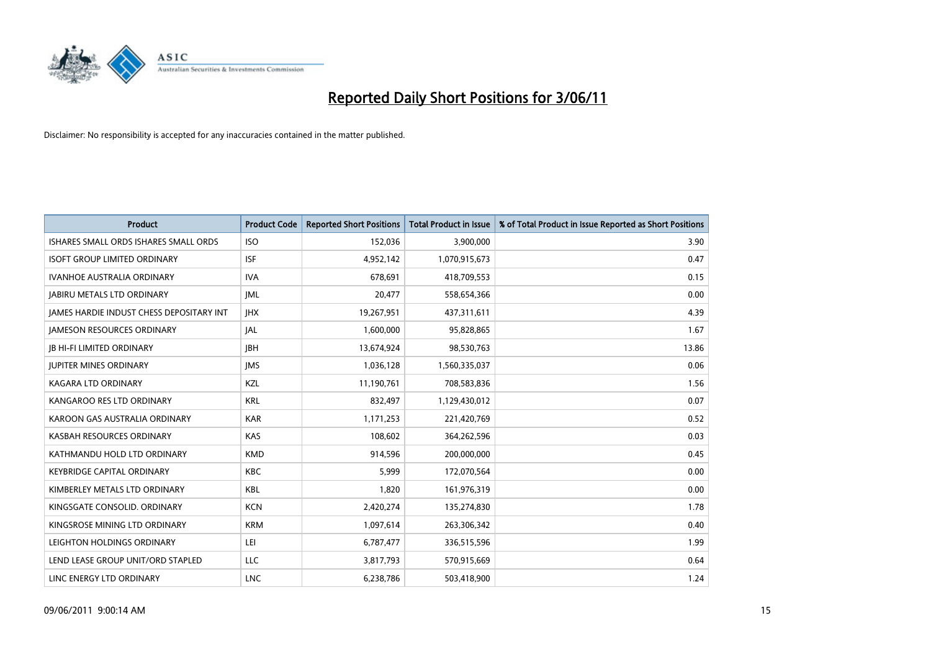

| <b>Product</b>                                  | <b>Product Code</b> | <b>Reported Short Positions</b> | Total Product in Issue | % of Total Product in Issue Reported as Short Positions |
|-------------------------------------------------|---------------------|---------------------------------|------------------------|---------------------------------------------------------|
| ISHARES SMALL ORDS ISHARES SMALL ORDS           | <b>ISO</b>          | 152,036                         | 3,900,000              | 3.90                                                    |
| <b>ISOFT GROUP LIMITED ORDINARY</b>             | <b>ISF</b>          | 4,952,142                       | 1,070,915,673          | 0.47                                                    |
| <b>IVANHOE AUSTRALIA ORDINARY</b>               | <b>IVA</b>          | 678.691                         | 418,709,553            | 0.15                                                    |
| <b>JABIRU METALS LTD ORDINARY</b>               | <b>JML</b>          | 20,477                          | 558,654,366            | 0.00                                                    |
| <b>IAMES HARDIE INDUST CHESS DEPOSITARY INT</b> | <b>IHX</b>          | 19,267,951                      | 437,311,611            | 4.39                                                    |
| <b>JAMESON RESOURCES ORDINARY</b>               | JAL                 | 1,600,000                       | 95,828,865             | 1.67                                                    |
| <b>JB HI-FI LIMITED ORDINARY</b>                | <b>IBH</b>          | 13,674,924                      | 98,530,763             | 13.86                                                   |
| <b>JUPITER MINES ORDINARY</b>                   | <b>IMS</b>          | 1,036,128                       | 1,560,335,037          | 0.06                                                    |
| KAGARA LTD ORDINARY                             | KZL                 | 11,190,761                      | 708,583,836            | 1.56                                                    |
| KANGAROO RES LTD ORDINARY                       | <b>KRL</b>          | 832,497                         | 1,129,430,012          | 0.07                                                    |
| KAROON GAS AUSTRALIA ORDINARY                   | <b>KAR</b>          | 1,171,253                       | 221,420,769            | 0.52                                                    |
| KASBAH RESOURCES ORDINARY                       | <b>KAS</b>          | 108,602                         | 364,262,596            | 0.03                                                    |
| KATHMANDU HOLD LTD ORDINARY                     | <b>KMD</b>          | 914,596                         | 200,000,000            | 0.45                                                    |
| <b>KEYBRIDGE CAPITAL ORDINARY</b>               | <b>KBC</b>          | 5,999                           | 172,070,564            | 0.00                                                    |
| KIMBERLEY METALS LTD ORDINARY                   | <b>KBL</b>          | 1,820                           | 161,976,319            | 0.00                                                    |
| KINGSGATE CONSOLID. ORDINARY                    | <b>KCN</b>          | 2,420,274                       | 135,274,830            | 1.78                                                    |
| KINGSROSE MINING LTD ORDINARY                   | <b>KRM</b>          | 1,097,614                       | 263,306,342            | 0.40                                                    |
| LEIGHTON HOLDINGS ORDINARY                      | LEI                 | 6,787,477                       | 336,515,596            | 1.99                                                    |
| LEND LEASE GROUP UNIT/ORD STAPLED               | <b>LLC</b>          | 3,817,793                       | 570,915,669            | 0.64                                                    |
| LINC ENERGY LTD ORDINARY                        | <b>LNC</b>          | 6,238,786                       | 503,418,900            | 1.24                                                    |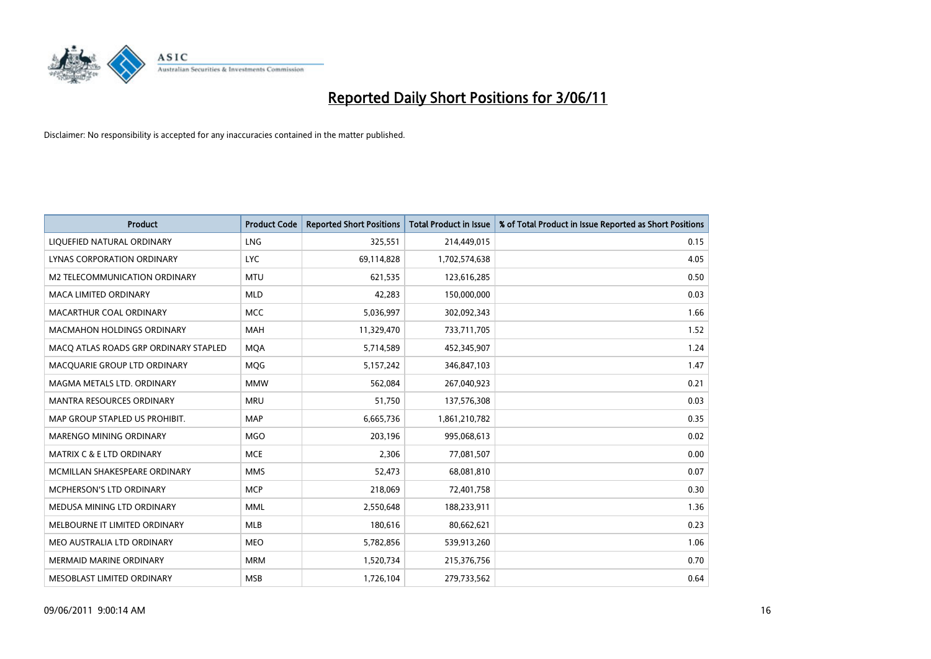

| <b>Product</b>                        | <b>Product Code</b> | <b>Reported Short Positions</b> | <b>Total Product in Issue</b> | % of Total Product in Issue Reported as Short Positions |
|---------------------------------------|---------------------|---------------------------------|-------------------------------|---------------------------------------------------------|
| LIQUEFIED NATURAL ORDINARY            | <b>LNG</b>          | 325,551                         | 214,449,015                   | 0.15                                                    |
| LYNAS CORPORATION ORDINARY            | <b>LYC</b>          | 69,114,828                      | 1,702,574,638                 | 4.05                                                    |
| M2 TELECOMMUNICATION ORDINARY         | <b>MTU</b>          | 621,535                         | 123,616,285                   | 0.50                                                    |
| MACA LIMITED ORDINARY                 | <b>MLD</b>          | 42,283                          | 150,000,000                   | 0.03                                                    |
| MACARTHUR COAL ORDINARY               | <b>MCC</b>          | 5,036,997                       | 302,092,343                   | 1.66                                                    |
| <b>MACMAHON HOLDINGS ORDINARY</b>     | <b>MAH</b>          | 11,329,470                      | 733,711,705                   | 1.52                                                    |
| MACO ATLAS ROADS GRP ORDINARY STAPLED | <b>MOA</b>          | 5,714,589                       | 452,345,907                   | 1.24                                                    |
| MACQUARIE GROUP LTD ORDINARY          | MQG                 | 5,157,242                       | 346,847,103                   | 1.47                                                    |
| MAGMA METALS LTD. ORDINARY            | <b>MMW</b>          | 562,084                         | 267,040,923                   | 0.21                                                    |
| <b>MANTRA RESOURCES ORDINARY</b>      | <b>MRU</b>          | 51,750                          | 137,576,308                   | 0.03                                                    |
| MAP GROUP STAPLED US PROHIBIT.        | <b>MAP</b>          | 6,665,736                       | 1,861,210,782                 | 0.35                                                    |
| <b>MARENGO MINING ORDINARY</b>        | <b>MGO</b>          | 203,196                         | 995,068,613                   | 0.02                                                    |
| MATRIX C & E LTD ORDINARY             | <b>MCE</b>          | 2,306                           | 77,081,507                    | 0.00                                                    |
| MCMILLAN SHAKESPEARE ORDINARY         | <b>MMS</b>          | 52,473                          | 68,081,810                    | 0.07                                                    |
| <b>MCPHERSON'S LTD ORDINARY</b>       | <b>MCP</b>          | 218,069                         | 72,401,758                    | 0.30                                                    |
| MEDUSA MINING LTD ORDINARY            | <b>MML</b>          | 2,550,648                       | 188,233,911                   | 1.36                                                    |
| MELBOURNE IT LIMITED ORDINARY         | MLB                 | 180,616                         | 80,662,621                    | 0.23                                                    |
| MEO AUSTRALIA LTD ORDINARY            | <b>MEO</b>          | 5,782,856                       | 539,913,260                   | 1.06                                                    |
| <b>MERMAID MARINE ORDINARY</b>        | <b>MRM</b>          | 1,520,734                       | 215,376,756                   | 0.70                                                    |
| MESOBLAST LIMITED ORDINARY            | <b>MSB</b>          | 1,726,104                       | 279,733,562                   | 0.64                                                    |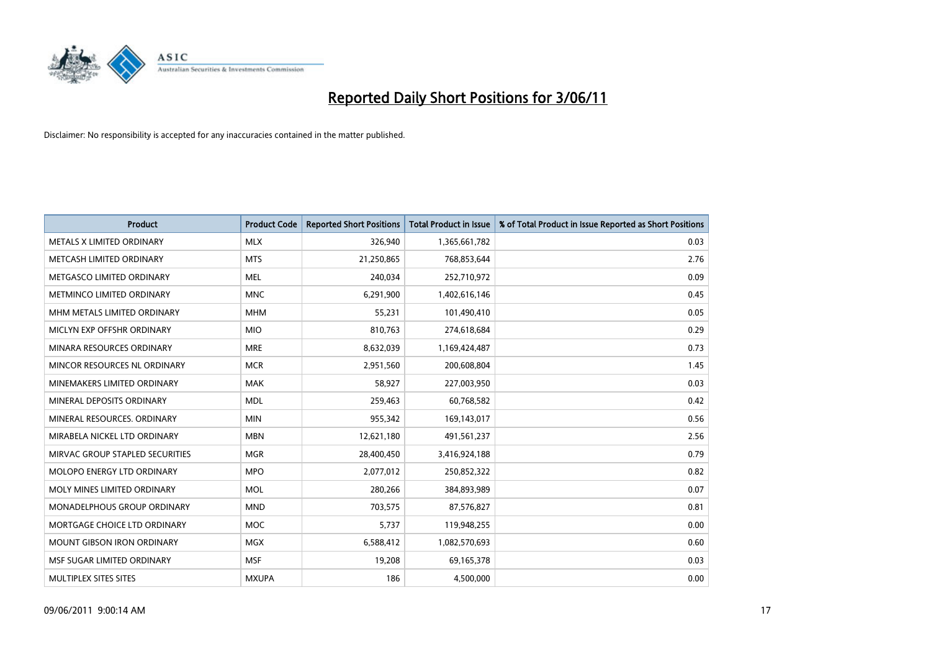

| <b>Product</b>                    | <b>Product Code</b> | <b>Reported Short Positions</b> | <b>Total Product in Issue</b> | % of Total Product in Issue Reported as Short Positions |
|-----------------------------------|---------------------|---------------------------------|-------------------------------|---------------------------------------------------------|
| METALS X LIMITED ORDINARY         | <b>MLX</b>          | 326,940                         | 1,365,661,782                 | 0.03                                                    |
| METCASH LIMITED ORDINARY          | <b>MTS</b>          | 21,250,865                      | 768,853,644                   | 2.76                                                    |
| METGASCO LIMITED ORDINARY         | <b>MEL</b>          | 240,034                         | 252,710,972                   | 0.09                                                    |
| METMINCO LIMITED ORDINARY         | <b>MNC</b>          | 6,291,900                       | 1,402,616,146                 | 0.45                                                    |
| MHM METALS LIMITED ORDINARY       | <b>MHM</b>          | 55,231                          | 101,490,410                   | 0.05                                                    |
| MICLYN EXP OFFSHR ORDINARY        | <b>MIO</b>          | 810,763                         | 274,618,684                   | 0.29                                                    |
| MINARA RESOURCES ORDINARY         | <b>MRE</b>          | 8,632,039                       | 1,169,424,487                 | 0.73                                                    |
| MINCOR RESOURCES NL ORDINARY      | <b>MCR</b>          | 2,951,560                       | 200,608,804                   | 1.45                                                    |
| MINEMAKERS LIMITED ORDINARY       | <b>MAK</b>          | 58,927                          | 227,003,950                   | 0.03                                                    |
| MINERAL DEPOSITS ORDINARY         | <b>MDL</b>          | 259,463                         | 60,768,582                    | 0.42                                                    |
| MINERAL RESOURCES. ORDINARY       | <b>MIN</b>          | 955,342                         | 169,143,017                   | 0.56                                                    |
| MIRABELA NICKEL LTD ORDINARY      | <b>MBN</b>          | 12,621,180                      | 491,561,237                   | 2.56                                                    |
| MIRVAC GROUP STAPLED SECURITIES   | <b>MGR</b>          | 28,400,450                      | 3,416,924,188                 | 0.79                                                    |
| <b>MOLOPO ENERGY LTD ORDINARY</b> | <b>MPO</b>          | 2,077,012                       | 250,852,322                   | 0.82                                                    |
| MOLY MINES LIMITED ORDINARY       | <b>MOL</b>          | 280,266                         | 384,893,989                   | 0.07                                                    |
| MONADELPHOUS GROUP ORDINARY       | <b>MND</b>          | 703,575                         | 87,576,827                    | 0.81                                                    |
| MORTGAGE CHOICE LTD ORDINARY      | <b>MOC</b>          | 5,737                           | 119,948,255                   | 0.00                                                    |
| MOUNT GIBSON IRON ORDINARY        | <b>MGX</b>          | 6,588,412                       | 1,082,570,693                 | 0.60                                                    |
| MSF SUGAR LIMITED ORDINARY        | <b>MSF</b>          | 19,208                          | 69,165,378                    | 0.03                                                    |
| MULTIPLEX SITES SITES             | <b>MXUPA</b>        | 186                             | 4,500,000                     | 0.00                                                    |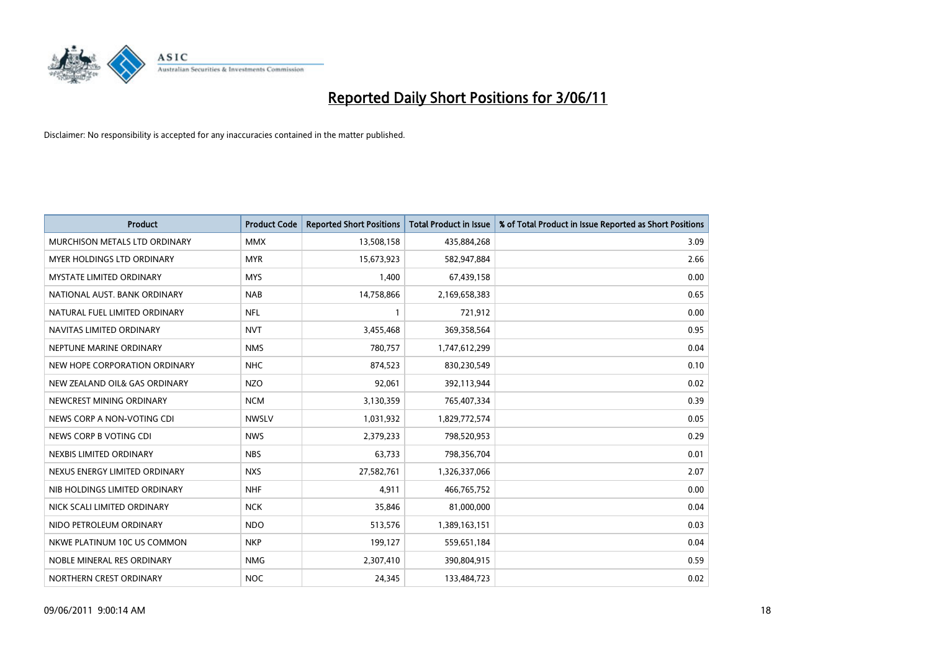

| <b>Product</b>                  | <b>Product Code</b> | <b>Reported Short Positions</b> | <b>Total Product in Issue</b> | % of Total Product in Issue Reported as Short Positions |
|---------------------------------|---------------------|---------------------------------|-------------------------------|---------------------------------------------------------|
| MURCHISON METALS LTD ORDINARY   | <b>MMX</b>          | 13,508,158                      | 435,884,268                   | 3.09                                                    |
| MYER HOLDINGS LTD ORDINARY      | <b>MYR</b>          | 15,673,923                      | 582,947,884                   | 2.66                                                    |
| <b>MYSTATE LIMITED ORDINARY</b> | <b>MYS</b>          | 1,400                           | 67,439,158                    | 0.00                                                    |
| NATIONAL AUST, BANK ORDINARY    | <b>NAB</b>          | 14,758,866                      | 2,169,658,383                 | 0.65                                                    |
| NATURAL FUEL LIMITED ORDINARY   | <b>NFL</b>          |                                 | 721,912                       | 0.00                                                    |
| NAVITAS LIMITED ORDINARY        | <b>NVT</b>          | 3,455,468                       | 369,358,564                   | 0.95                                                    |
| NEPTUNE MARINE ORDINARY         | <b>NMS</b>          | 780,757                         | 1,747,612,299                 | 0.04                                                    |
| NEW HOPE CORPORATION ORDINARY   | <b>NHC</b>          | 874,523                         | 830,230,549                   | 0.10                                                    |
| NEW ZEALAND OIL& GAS ORDINARY   | <b>NZO</b>          | 92,061                          | 392,113,944                   | 0.02                                                    |
| NEWCREST MINING ORDINARY        | <b>NCM</b>          | 3,130,359                       | 765,407,334                   | 0.39                                                    |
| NEWS CORP A NON-VOTING CDI      | <b>NWSLV</b>        | 1,031,932                       | 1,829,772,574                 | 0.05                                                    |
| NEWS CORP B VOTING CDI          | <b>NWS</b>          | 2,379,233                       | 798,520,953                   | 0.29                                                    |
| NEXBIS LIMITED ORDINARY         | <b>NBS</b>          | 63.733                          | 798,356,704                   | 0.01                                                    |
| NEXUS ENERGY LIMITED ORDINARY   | <b>NXS</b>          | 27,582,761                      | 1,326,337,066                 | 2.07                                                    |
| NIB HOLDINGS LIMITED ORDINARY   | <b>NHF</b>          | 4,911                           | 466,765,752                   | 0.00                                                    |
| NICK SCALI LIMITED ORDINARY     | <b>NCK</b>          | 35,846                          | 81,000,000                    | 0.04                                                    |
| NIDO PETROLEUM ORDINARY         | <b>NDO</b>          | 513,576                         | 1,389,163,151                 | 0.03                                                    |
| NKWE PLATINUM 10C US COMMON     | <b>NKP</b>          | 199,127                         | 559,651,184                   | 0.04                                                    |
| NOBLE MINERAL RES ORDINARY      | <b>NMG</b>          | 2,307,410                       | 390,804,915                   | 0.59                                                    |
| NORTHERN CREST ORDINARY         | <b>NOC</b>          | 24.345                          | 133,484,723                   | 0.02                                                    |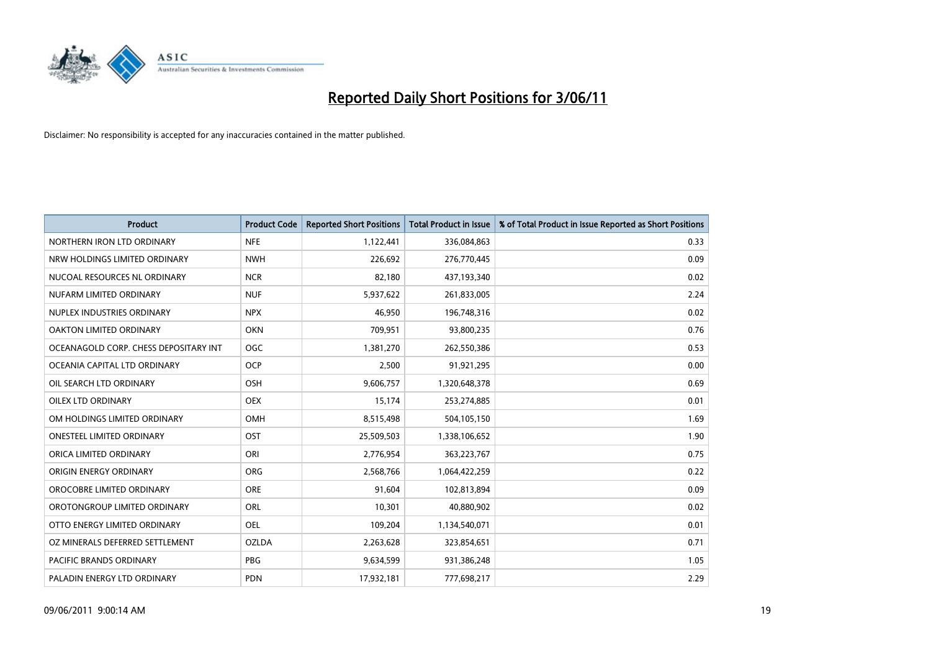

| <b>Product</b>                        | <b>Product Code</b> | <b>Reported Short Positions</b> | <b>Total Product in Issue</b> | % of Total Product in Issue Reported as Short Positions |
|---------------------------------------|---------------------|---------------------------------|-------------------------------|---------------------------------------------------------|
| NORTHERN IRON LTD ORDINARY            | <b>NFE</b>          | 1,122,441                       | 336,084,863                   | 0.33                                                    |
| NRW HOLDINGS LIMITED ORDINARY         | <b>NWH</b>          | 226,692                         | 276,770,445                   | 0.09                                                    |
| NUCOAL RESOURCES NL ORDINARY          | <b>NCR</b>          | 82,180                          | 437,193,340                   | 0.02                                                    |
| NUFARM LIMITED ORDINARY               | <b>NUF</b>          | 5,937,622                       | 261,833,005                   | 2.24                                                    |
| NUPLEX INDUSTRIES ORDINARY            | <b>NPX</b>          | 46,950                          | 196,748,316                   | 0.02                                                    |
| OAKTON LIMITED ORDINARY               | <b>OKN</b>          | 709,951                         | 93,800,235                    | 0.76                                                    |
| OCEANAGOLD CORP. CHESS DEPOSITARY INT | <b>OGC</b>          | 1,381,270                       | 262,550,386                   | 0.53                                                    |
| OCEANIA CAPITAL LTD ORDINARY          | <b>OCP</b>          | 2,500                           | 91,921,295                    | 0.00                                                    |
| OIL SEARCH LTD ORDINARY               | <b>OSH</b>          | 9,606,757                       | 1,320,648,378                 | 0.69                                                    |
| <b>OILEX LTD ORDINARY</b>             | <b>OEX</b>          | 15,174                          | 253,274,885                   | 0.01                                                    |
| OM HOLDINGS LIMITED ORDINARY          | <b>OMH</b>          | 8,515,498                       | 504,105,150                   | 1.69                                                    |
| <b>ONESTEEL LIMITED ORDINARY</b>      | OST                 | 25,509,503                      | 1,338,106,652                 | 1.90                                                    |
| ORICA LIMITED ORDINARY                | ORI                 | 2,776,954                       | 363,223,767                   | 0.75                                                    |
| ORIGIN ENERGY ORDINARY                | <b>ORG</b>          | 2,568,766                       | 1,064,422,259                 | 0.22                                                    |
| OROCOBRE LIMITED ORDINARY             | <b>ORE</b>          | 91,604                          | 102,813,894                   | 0.09                                                    |
| OROTONGROUP LIMITED ORDINARY          | ORL                 | 10,301                          | 40,880,902                    | 0.02                                                    |
| OTTO ENERGY LIMITED ORDINARY          | <b>OEL</b>          | 109,204                         | 1,134,540,071                 | 0.01                                                    |
| OZ MINERALS DEFERRED SETTLEMENT       | <b>OZLDA</b>        | 2,263,628                       | 323,854,651                   | 0.71                                                    |
| <b>PACIFIC BRANDS ORDINARY</b>        | PBG                 | 9,634,599                       | 931,386,248                   | 1.05                                                    |
| PALADIN ENERGY LTD ORDINARY           | <b>PDN</b>          | 17.932.181                      | 777,698,217                   | 2.29                                                    |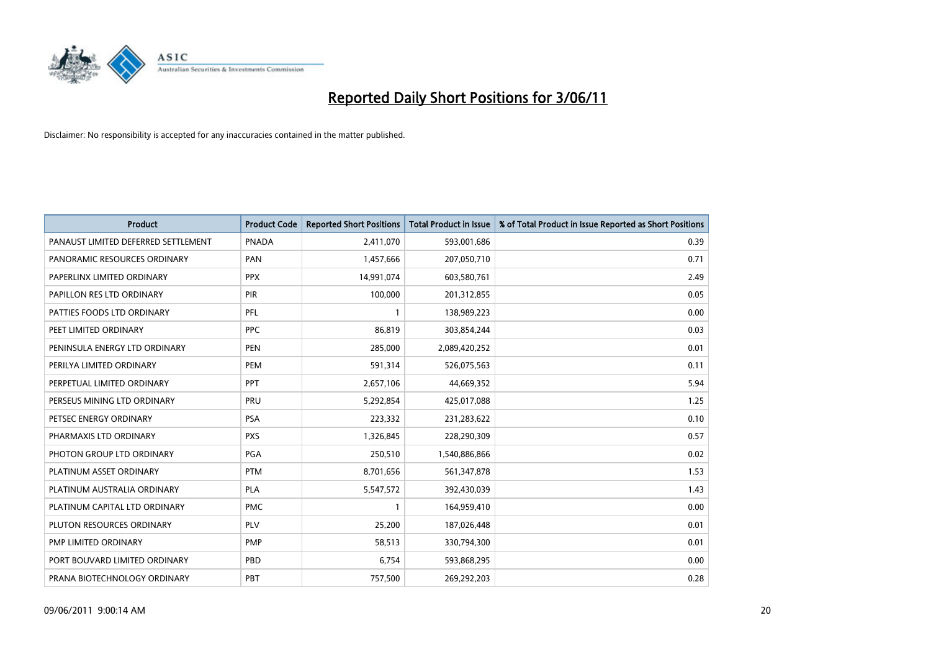

| <b>Product</b>                      | <b>Product Code</b> | <b>Reported Short Positions</b> | Total Product in Issue | % of Total Product in Issue Reported as Short Positions |
|-------------------------------------|---------------------|---------------------------------|------------------------|---------------------------------------------------------|
| PANAUST LIMITED DEFERRED SETTLEMENT | <b>PNADA</b>        | 2,411,070                       | 593,001,686            | 0.39                                                    |
| PANORAMIC RESOURCES ORDINARY        | PAN                 | 1,457,666                       | 207,050,710            | 0.71                                                    |
| PAPERLINX LIMITED ORDINARY          | <b>PPX</b>          | 14,991,074                      | 603,580,761            | 2.49                                                    |
| PAPILLON RES LTD ORDINARY           | PIR                 | 100,000                         | 201,312,855            | 0.05                                                    |
| PATTIES FOODS LTD ORDINARY          | PFL                 |                                 | 138,989,223            | 0.00                                                    |
| PEET LIMITED ORDINARY               | <b>PPC</b>          | 86,819                          | 303,854,244            | 0.03                                                    |
| PENINSULA ENERGY LTD ORDINARY       | <b>PEN</b>          | 285,000                         | 2,089,420,252          | 0.01                                                    |
| PERILYA LIMITED ORDINARY            | PEM                 | 591,314                         | 526,075,563            | 0.11                                                    |
| PERPETUAL LIMITED ORDINARY          | PPT                 | 2,657,106                       | 44,669,352             | 5.94                                                    |
| PERSEUS MINING LTD ORDINARY         | PRU                 | 5,292,854                       | 425,017,088            | 1.25                                                    |
| PETSEC ENERGY ORDINARY              | <b>PSA</b>          | 223,332                         | 231,283,622            | 0.10                                                    |
| PHARMAXIS LTD ORDINARY              | <b>PXS</b>          | 1,326,845                       | 228,290,309            | 0.57                                                    |
| PHOTON GROUP LTD ORDINARY           | PGA                 | 250,510                         | 1,540,886,866          | 0.02                                                    |
| PLATINUM ASSET ORDINARY             | <b>PTM</b>          | 8,701,656                       | 561,347,878            | 1.53                                                    |
| PLATINUM AUSTRALIA ORDINARY         | <b>PLA</b>          | 5,547,572                       | 392,430,039            | 1.43                                                    |
| PLATINUM CAPITAL LTD ORDINARY       | <b>PMC</b>          |                                 | 164,959,410            | 0.00                                                    |
| PLUTON RESOURCES ORDINARY           | PLV                 | 25,200                          | 187,026,448            | 0.01                                                    |
| PMP LIMITED ORDINARY                | <b>PMP</b>          | 58,513                          | 330,794,300            | 0.01                                                    |
| PORT BOUVARD LIMITED ORDINARY       | PBD                 | 6,754                           | 593,868,295            | 0.00                                                    |
| PRANA BIOTECHNOLOGY ORDINARY        | PBT                 | 757,500                         | 269,292,203            | 0.28                                                    |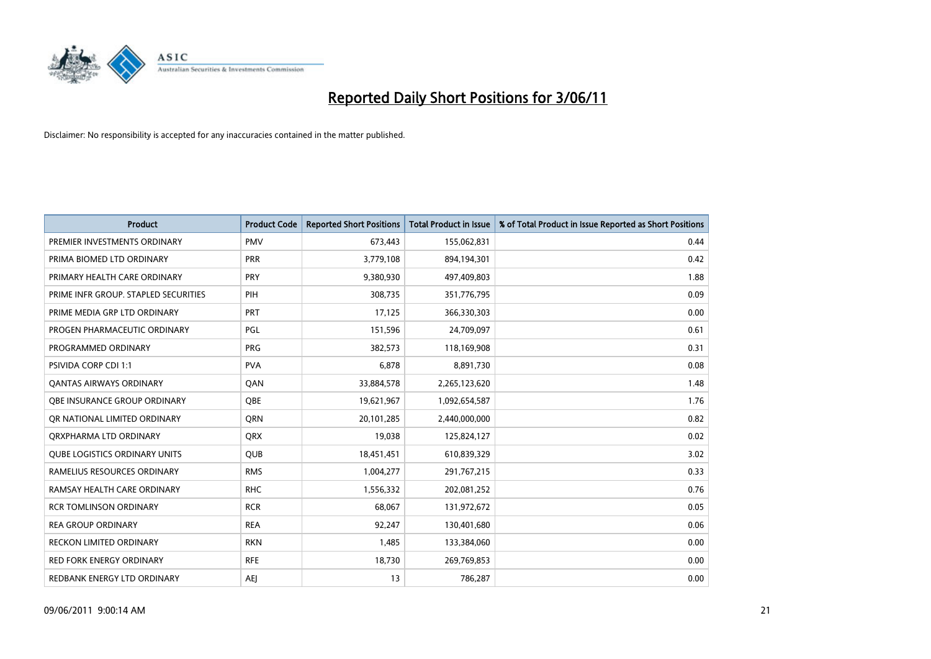

| <b>Product</b>                       | <b>Product Code</b> | <b>Reported Short Positions</b> | <b>Total Product in Issue</b> | % of Total Product in Issue Reported as Short Positions |
|--------------------------------------|---------------------|---------------------------------|-------------------------------|---------------------------------------------------------|
| PREMIER INVESTMENTS ORDINARY         | <b>PMV</b>          | 673,443                         | 155,062,831                   | 0.44                                                    |
| PRIMA BIOMED LTD ORDINARY            | <b>PRR</b>          | 3,779,108                       | 894,194,301                   | 0.42                                                    |
| PRIMARY HEALTH CARE ORDINARY         | <b>PRY</b>          | 9,380,930                       | 497,409,803                   | 1.88                                                    |
| PRIME INFR GROUP. STAPLED SECURITIES | PIH                 | 308,735                         | 351,776,795                   | 0.09                                                    |
| PRIME MEDIA GRP LTD ORDINARY         | PRT                 | 17,125                          | 366,330,303                   | 0.00                                                    |
| PROGEN PHARMACEUTIC ORDINARY         | PGL                 | 151,596                         | 24,709,097                    | 0.61                                                    |
| PROGRAMMED ORDINARY                  | <b>PRG</b>          | 382,573                         | 118,169,908                   | 0.31                                                    |
| <b>PSIVIDA CORP CDI 1:1</b>          | <b>PVA</b>          | 6,878                           | 8,891,730                     | 0.08                                                    |
| <b>QANTAS AIRWAYS ORDINARY</b>       | QAN                 | 33,884,578                      | 2,265,123,620                 | 1.48                                                    |
| OBE INSURANCE GROUP ORDINARY         | OBE                 | 19,621,967                      | 1,092,654,587                 | 1.76                                                    |
| OR NATIONAL LIMITED ORDINARY         | <b>ORN</b>          | 20,101,285                      | 2,440,000,000                 | 0.82                                                    |
| ORXPHARMA LTD ORDINARY               | <b>ORX</b>          | 19,038                          | 125,824,127                   | 0.02                                                    |
| <b>QUBE LOGISTICS ORDINARY UNITS</b> | <b>QUB</b>          | 18,451,451                      | 610,839,329                   | 3.02                                                    |
| RAMELIUS RESOURCES ORDINARY          | <b>RMS</b>          | 1,004,277                       | 291,767,215                   | 0.33                                                    |
| RAMSAY HEALTH CARE ORDINARY          | <b>RHC</b>          | 1,556,332                       | 202,081,252                   | 0.76                                                    |
| <b>RCR TOMLINSON ORDINARY</b>        | <b>RCR</b>          | 68,067                          | 131,972,672                   | 0.05                                                    |
| <b>REA GROUP ORDINARY</b>            | <b>REA</b>          | 92,247                          | 130,401,680                   | 0.06                                                    |
| <b>RECKON LIMITED ORDINARY</b>       | <b>RKN</b>          | 1,485                           | 133,384,060                   | 0.00                                                    |
| <b>RED FORK ENERGY ORDINARY</b>      | <b>RFE</b>          | 18,730                          | 269,769,853                   | 0.00                                                    |
| REDBANK ENERGY LTD ORDINARY          | AEI                 | 13                              | 786,287                       | 0.00                                                    |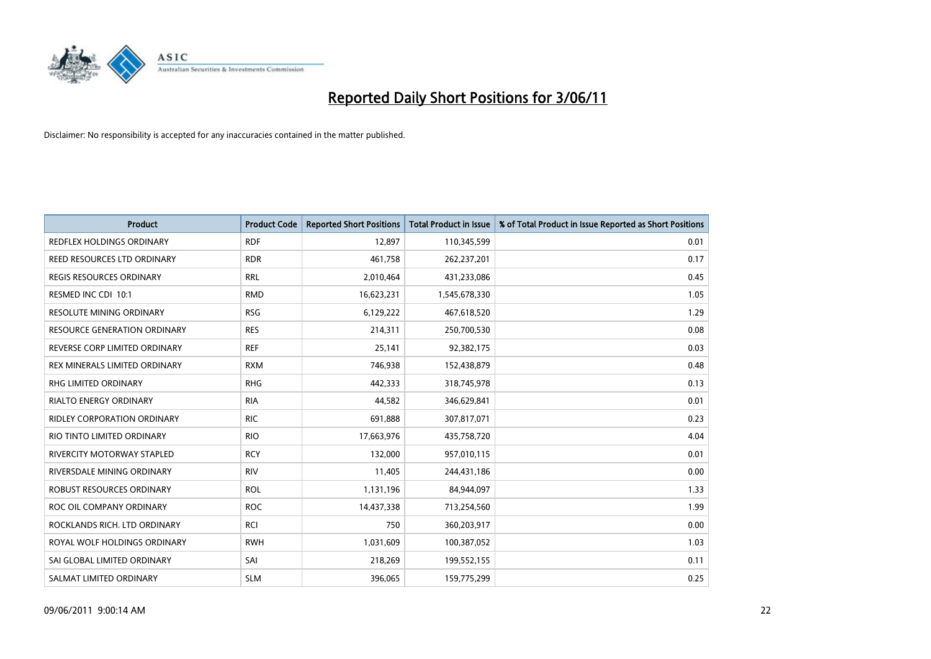

| Product                             | <b>Product Code</b> | <b>Reported Short Positions</b> | <b>Total Product in Issue</b> | % of Total Product in Issue Reported as Short Positions |
|-------------------------------------|---------------------|---------------------------------|-------------------------------|---------------------------------------------------------|
| <b>REDFLEX HOLDINGS ORDINARY</b>    | <b>RDF</b>          | 12,897                          | 110,345,599                   | 0.01                                                    |
| REED RESOURCES LTD ORDINARY         | <b>RDR</b>          | 461,758                         | 262,237,201                   | 0.17                                                    |
| <b>REGIS RESOURCES ORDINARY</b>     | <b>RRL</b>          | 2,010,464                       | 431,233,086                   | 0.45                                                    |
| RESMED INC CDI 10:1                 | <b>RMD</b>          | 16,623,231                      | 1,545,678,330                 | 1.05                                                    |
| <b>RESOLUTE MINING ORDINARY</b>     | <b>RSG</b>          | 6,129,222                       | 467,618,520                   | 1.29                                                    |
| <b>RESOURCE GENERATION ORDINARY</b> | <b>RES</b>          | 214,311                         | 250,700,530                   | 0.08                                                    |
| REVERSE CORP LIMITED ORDINARY       | <b>REF</b>          | 25,141                          | 92,382,175                    | 0.03                                                    |
| REX MINERALS LIMITED ORDINARY       | <b>RXM</b>          | 746,938                         | 152,438,879                   | 0.48                                                    |
| <b>RHG LIMITED ORDINARY</b>         | <b>RHG</b>          | 442,333                         | 318,745,978                   | 0.13                                                    |
| <b>RIALTO ENERGY ORDINARY</b>       | <b>RIA</b>          | 44,582                          | 346,629,841                   | 0.01                                                    |
| RIDLEY CORPORATION ORDINARY         | <b>RIC</b>          | 691,888                         | 307,817,071                   | 0.23                                                    |
| RIO TINTO LIMITED ORDINARY          | <b>RIO</b>          | 17,663,976                      | 435,758,720                   | 4.04                                                    |
| RIVERCITY MOTORWAY STAPLED          | <b>RCY</b>          | 132,000                         | 957,010,115                   | 0.01                                                    |
| RIVERSDALE MINING ORDINARY          | <b>RIV</b>          | 11,405                          | 244,431,186                   | 0.00                                                    |
| ROBUST RESOURCES ORDINARY           | <b>ROL</b>          | 1,131,196                       | 84,944,097                    | 1.33                                                    |
| ROC OIL COMPANY ORDINARY            | <b>ROC</b>          | 14,437,338                      | 713,254,560                   | 1.99                                                    |
| ROCKLANDS RICH. LTD ORDINARY        | RCI                 | 750                             | 360,203,917                   | 0.00                                                    |
| ROYAL WOLF HOLDINGS ORDINARY        | <b>RWH</b>          | 1,031,609                       | 100,387,052                   | 1.03                                                    |
| SAI GLOBAL LIMITED ORDINARY         | SAI                 | 218,269                         | 199,552,155                   | 0.11                                                    |
| SALMAT LIMITED ORDINARY             | <b>SLM</b>          | 396,065                         | 159,775,299                   | 0.25                                                    |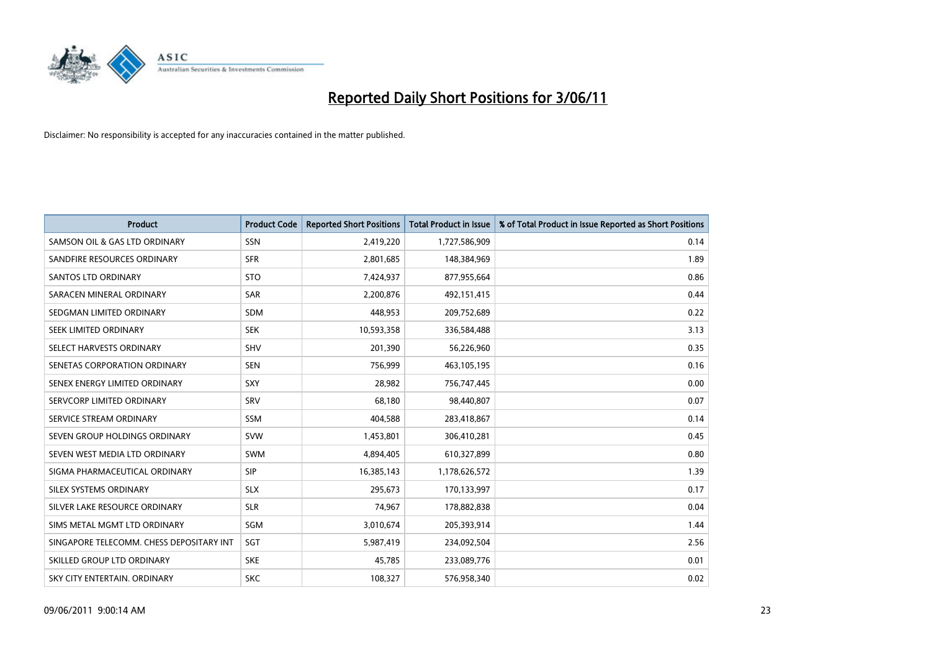

| <b>Product</b>                           | <b>Product Code</b> | <b>Reported Short Positions</b> | Total Product in Issue | % of Total Product in Issue Reported as Short Positions |
|------------------------------------------|---------------------|---------------------------------|------------------------|---------------------------------------------------------|
| SAMSON OIL & GAS LTD ORDINARY            | SSN                 | 2,419,220                       | 1,727,586,909          | 0.14                                                    |
| SANDFIRE RESOURCES ORDINARY              | <b>SFR</b>          | 2,801,685                       | 148,384,969            | 1.89                                                    |
| SANTOS LTD ORDINARY                      | <b>STO</b>          | 7,424,937                       | 877,955,664            | 0.86                                                    |
| SARACEN MINERAL ORDINARY                 | <b>SAR</b>          | 2,200,876                       | 492,151,415            | 0.44                                                    |
| SEDGMAN LIMITED ORDINARY                 | <b>SDM</b>          | 448,953                         | 209,752,689            | 0.22                                                    |
| SEEK LIMITED ORDINARY                    | <b>SEK</b>          | 10,593,358                      | 336,584,488            | 3.13                                                    |
| SELECT HARVESTS ORDINARY                 | SHV                 | 201,390                         | 56,226,960             | 0.35                                                    |
| SENETAS CORPORATION ORDINARY             | <b>SEN</b>          | 756,999                         | 463,105,195            | 0.16                                                    |
| SENEX ENERGY LIMITED ORDINARY            | SXY                 | 28,982                          | 756,747,445            | 0.00                                                    |
| SERVCORP LIMITED ORDINARY                | SRV                 | 68,180                          | 98,440,807             | 0.07                                                    |
| SERVICE STREAM ORDINARY                  | <b>SSM</b>          | 404,588                         | 283,418,867            | 0.14                                                    |
| SEVEN GROUP HOLDINGS ORDINARY            | <b>SVW</b>          | 1,453,801                       | 306,410,281            | 0.45                                                    |
| SEVEN WEST MEDIA LTD ORDINARY            | <b>SWM</b>          | 4,894,405                       | 610,327,899            | 0.80                                                    |
| SIGMA PHARMACEUTICAL ORDINARY            | <b>SIP</b>          | 16,385,143                      | 1,178,626,572          | 1.39                                                    |
| SILEX SYSTEMS ORDINARY                   | <b>SLX</b>          | 295,673                         | 170,133,997            | 0.17                                                    |
| SILVER LAKE RESOURCE ORDINARY            | <b>SLR</b>          | 74,967                          | 178,882,838            | 0.04                                                    |
| SIMS METAL MGMT LTD ORDINARY             | SGM                 | 3,010,674                       | 205,393,914            | 1.44                                                    |
| SINGAPORE TELECOMM. CHESS DEPOSITARY INT | SGT                 | 5,987,419                       | 234,092,504            | 2.56                                                    |
| SKILLED GROUP LTD ORDINARY               | <b>SKE</b>          | 45,785                          | 233,089,776            | 0.01                                                    |
| SKY CITY ENTERTAIN, ORDINARY             | <b>SKC</b>          | 108.327                         | 576,958,340            | 0.02                                                    |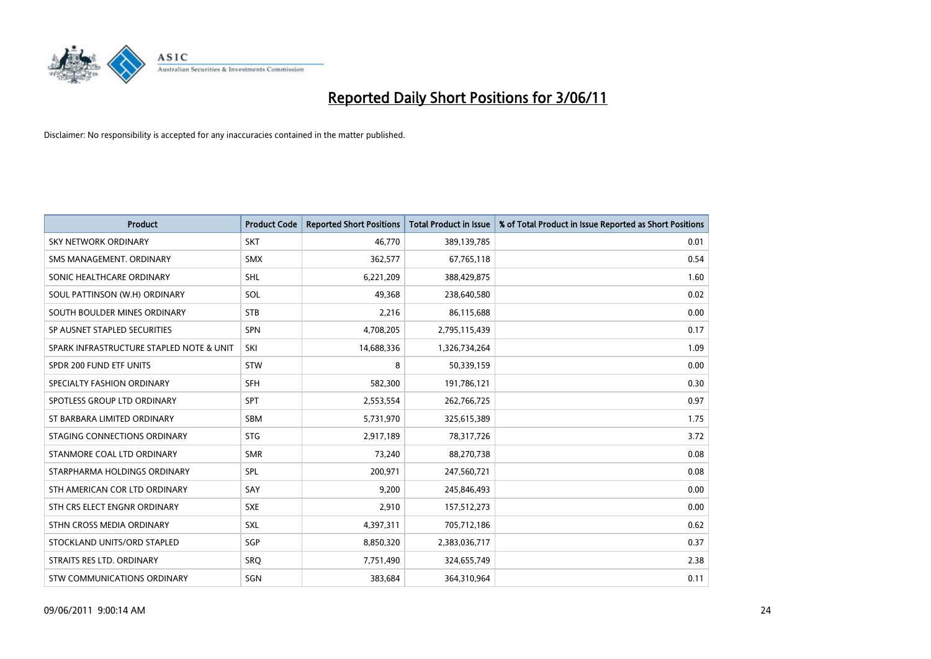

| <b>Product</b>                           | <b>Product Code</b> | <b>Reported Short Positions</b> | <b>Total Product in Issue</b> | % of Total Product in Issue Reported as Short Positions |
|------------------------------------------|---------------------|---------------------------------|-------------------------------|---------------------------------------------------------|
| <b>SKY NETWORK ORDINARY</b>              | <b>SKT</b>          | 46,770                          | 389,139,785                   | 0.01                                                    |
| SMS MANAGEMENT. ORDINARY                 | <b>SMX</b>          | 362,577                         | 67,765,118                    | 0.54                                                    |
| SONIC HEALTHCARE ORDINARY                | <b>SHL</b>          | 6,221,209                       | 388,429,875                   | 1.60                                                    |
| SOUL PATTINSON (W.H) ORDINARY            | SOL                 | 49,368                          | 238,640,580                   | 0.02                                                    |
| SOUTH BOULDER MINES ORDINARY             | <b>STB</b>          | 2,216                           | 86,115,688                    | 0.00                                                    |
| SP AUSNET STAPLED SECURITIES             | <b>SPN</b>          | 4,708,205                       | 2,795,115,439                 | 0.17                                                    |
| SPARK INFRASTRUCTURE STAPLED NOTE & UNIT | SKI                 | 14,688,336                      | 1,326,734,264                 | 1.09                                                    |
| SPDR 200 FUND ETF UNITS                  | <b>STW</b>          | 8                               | 50,339,159                    | 0.00                                                    |
| SPECIALTY FASHION ORDINARY               | <b>SFH</b>          | 582,300                         | 191,786,121                   | 0.30                                                    |
| SPOTLESS GROUP LTD ORDINARY              | <b>SPT</b>          | 2,553,554                       | 262,766,725                   | 0.97                                                    |
| ST BARBARA LIMITED ORDINARY              | SBM                 | 5,731,970                       | 325,615,389                   | 1.75                                                    |
| STAGING CONNECTIONS ORDINARY             | <b>STG</b>          | 2,917,189                       | 78,317,726                    | 3.72                                                    |
| STANMORE COAL LTD ORDINARY               | <b>SMR</b>          | 73,240                          | 88,270,738                    | 0.08                                                    |
| STARPHARMA HOLDINGS ORDINARY             | SPL                 | 200,971                         | 247,560,721                   | 0.08                                                    |
| STH AMERICAN COR LTD ORDINARY            | SAY                 | 9,200                           | 245,846,493                   | 0.00                                                    |
| STH CRS ELECT ENGNR ORDINARY             | <b>SXE</b>          | 2,910                           | 157,512,273                   | 0.00                                                    |
| STHN CROSS MEDIA ORDINARY                | <b>SXL</b>          | 4,397,311                       | 705,712,186                   | 0.62                                                    |
| STOCKLAND UNITS/ORD STAPLED              | SGP                 | 8,850,320                       | 2,383,036,717                 | 0.37                                                    |
| STRAITS RES LTD. ORDINARY                | SRO                 | 7,751,490                       | 324,655,749                   | 2.38                                                    |
| STW COMMUNICATIONS ORDINARY              | SGN                 | 383,684                         | 364,310,964                   | 0.11                                                    |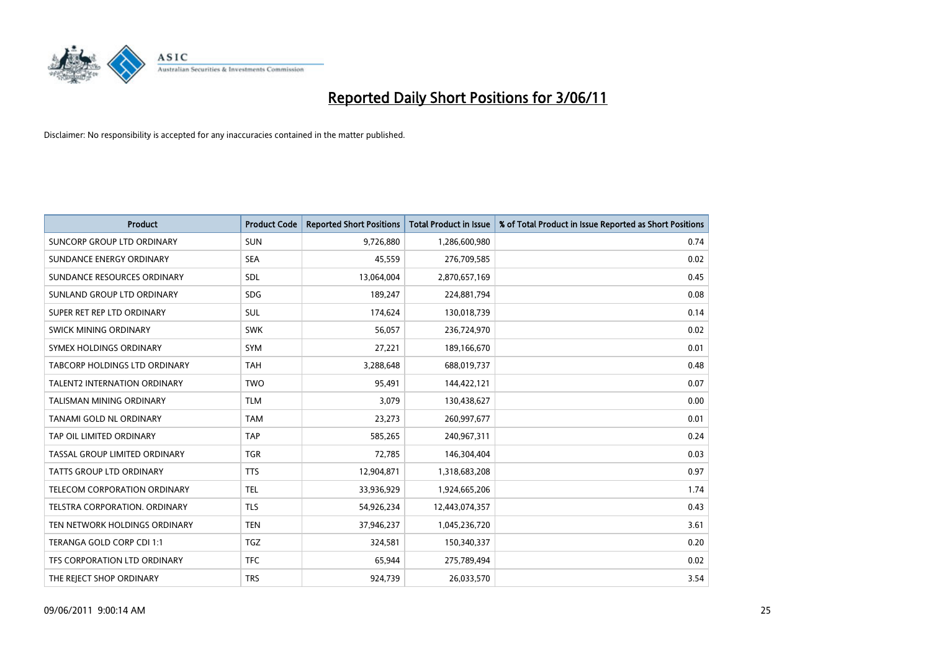

| <b>Product</b>                       | <b>Product Code</b> | <b>Reported Short Positions</b> | <b>Total Product in Issue</b> | % of Total Product in Issue Reported as Short Positions |
|--------------------------------------|---------------------|---------------------------------|-------------------------------|---------------------------------------------------------|
| <b>SUNCORP GROUP LTD ORDINARY</b>    | <b>SUN</b>          | 9,726,880                       | 1,286,600,980                 | 0.74                                                    |
| SUNDANCE ENERGY ORDINARY             | <b>SEA</b>          | 45,559                          | 276,709,585                   | 0.02                                                    |
| SUNDANCE RESOURCES ORDINARY          | <b>SDL</b>          | 13,064,004                      | 2,870,657,169                 | 0.45                                                    |
| SUNLAND GROUP LTD ORDINARY           | <b>SDG</b>          | 189,247                         | 224,881,794                   | 0.08                                                    |
| SUPER RET REP LTD ORDINARY           | SUL                 | 174,624                         | 130,018,739                   | 0.14                                                    |
| SWICK MINING ORDINARY                | <b>SWK</b>          | 56,057                          | 236,724,970                   | 0.02                                                    |
| SYMEX HOLDINGS ORDINARY              | SYM                 | 27,221                          | 189,166,670                   | 0.01                                                    |
| <b>TABCORP HOLDINGS LTD ORDINARY</b> | <b>TAH</b>          | 3,288,648                       | 688,019,737                   | 0.48                                                    |
| <b>TALENT2 INTERNATION ORDINARY</b>  | <b>TWO</b>          | 95,491                          | 144,422,121                   | 0.07                                                    |
| <b>TALISMAN MINING ORDINARY</b>      | <b>TLM</b>          | 3,079                           | 130,438,627                   | 0.00                                                    |
| TANAMI GOLD NL ORDINARY              | <b>TAM</b>          | 23,273                          | 260,997,677                   | 0.01                                                    |
| TAP OIL LIMITED ORDINARY             | <b>TAP</b>          | 585,265                         | 240,967,311                   | 0.24                                                    |
| TASSAL GROUP LIMITED ORDINARY        | <b>TGR</b>          | 72,785                          | 146,304,404                   | 0.03                                                    |
| <b>TATTS GROUP LTD ORDINARY</b>      | <b>TTS</b>          | 12,904,871                      | 1,318,683,208                 | 0.97                                                    |
| TELECOM CORPORATION ORDINARY         | <b>TEL</b>          | 33,936,929                      | 1,924,665,206                 | 1.74                                                    |
| TELSTRA CORPORATION, ORDINARY        | <b>TLS</b>          | 54,926,234                      | 12,443,074,357                | 0.43                                                    |
| TEN NETWORK HOLDINGS ORDINARY        | <b>TEN</b>          | 37,946,237                      | 1,045,236,720                 | 3.61                                                    |
| TERANGA GOLD CORP CDI 1:1            | <b>TGZ</b>          | 324,581                         | 150,340,337                   | 0.20                                                    |
| TFS CORPORATION LTD ORDINARY         | <b>TFC</b>          | 65,944                          | 275,789,494                   | 0.02                                                    |
| THE REJECT SHOP ORDINARY             | <b>TRS</b>          | 924,739                         | 26,033,570                    | 3.54                                                    |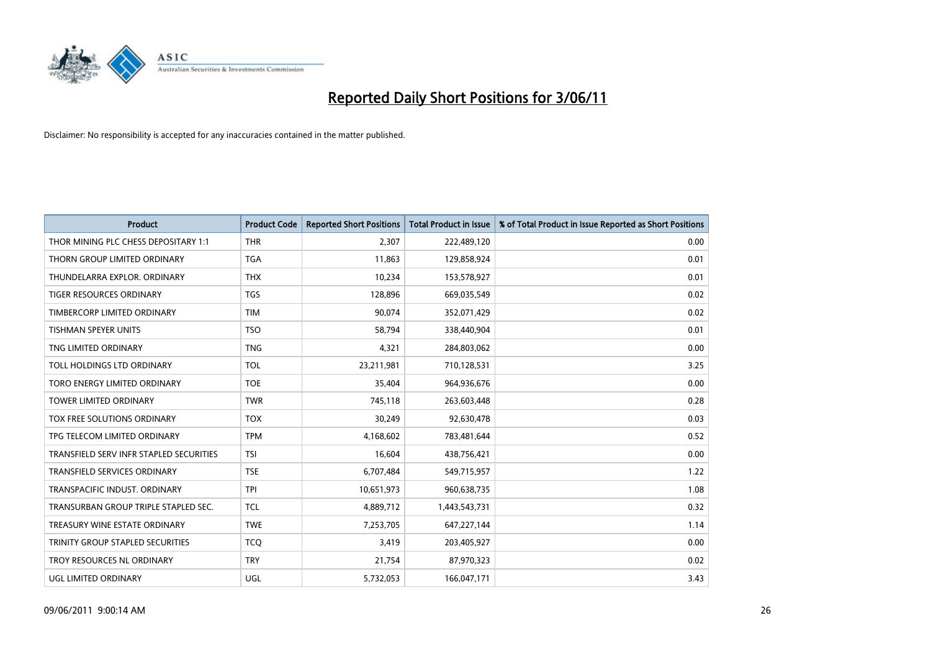

| <b>Product</b>                          | <b>Product Code</b> | <b>Reported Short Positions</b> | Total Product in Issue | % of Total Product in Issue Reported as Short Positions |
|-----------------------------------------|---------------------|---------------------------------|------------------------|---------------------------------------------------------|
| THOR MINING PLC CHESS DEPOSITARY 1:1    | <b>THR</b>          | 2,307                           | 222,489,120            | 0.00                                                    |
| THORN GROUP LIMITED ORDINARY            | <b>TGA</b>          | 11,863                          | 129,858,924            | 0.01                                                    |
| THUNDELARRA EXPLOR, ORDINARY            | <b>THX</b>          | 10,234                          | 153,578,927            | 0.01                                                    |
| TIGER RESOURCES ORDINARY                | <b>TGS</b>          | 128,896                         | 669,035,549            | 0.02                                                    |
| TIMBERCORP LIMITED ORDINARY             | <b>TIM</b>          | 90,074                          | 352,071,429            | 0.02                                                    |
| <b>TISHMAN SPEYER UNITS</b>             | <b>TSO</b>          | 58,794                          | 338,440,904            | 0.01                                                    |
| TNG LIMITED ORDINARY                    | <b>TNG</b>          | 4,321                           | 284,803,062            | 0.00                                                    |
| TOLL HOLDINGS LTD ORDINARY              | <b>TOL</b>          | 23,211,981                      | 710,128,531            | 3.25                                                    |
| TORO ENERGY LIMITED ORDINARY            | <b>TOE</b>          | 35,404                          | 964,936,676            | 0.00                                                    |
| <b>TOWER LIMITED ORDINARY</b>           | <b>TWR</b>          | 745,118                         | 263,603,448            | 0.28                                                    |
| TOX FREE SOLUTIONS ORDINARY             | <b>TOX</b>          | 30,249                          | 92,630,478             | 0.03                                                    |
| TPG TELECOM LIMITED ORDINARY            | <b>TPM</b>          | 4,168,602                       | 783,481,644            | 0.52                                                    |
| TRANSFIELD SERV INFR STAPLED SECURITIES | <b>TSI</b>          | 16,604                          | 438,756,421            | 0.00                                                    |
| TRANSFIELD SERVICES ORDINARY            | <b>TSE</b>          | 6,707,484                       | 549,715,957            | 1.22                                                    |
| TRANSPACIFIC INDUST, ORDINARY           | <b>TPI</b>          | 10,651,973                      | 960,638,735            | 1.08                                                    |
| TRANSURBAN GROUP TRIPLE STAPLED SEC.    | <b>TCL</b>          | 4,889,712                       | 1,443,543,731          | 0.32                                                    |
| TREASURY WINE ESTATE ORDINARY           | <b>TWE</b>          | 7,253,705                       | 647,227,144            | 1.14                                                    |
| TRINITY GROUP STAPLED SECURITIES        | <b>TCO</b>          | 3,419                           | 203,405,927            | 0.00                                                    |
| TROY RESOURCES NL ORDINARY              | <b>TRY</b>          | 21,754                          | 87,970,323             | 0.02                                                    |
| <b>UGL LIMITED ORDINARY</b>             | UGL                 | 5,732,053                       | 166,047,171            | 3.43                                                    |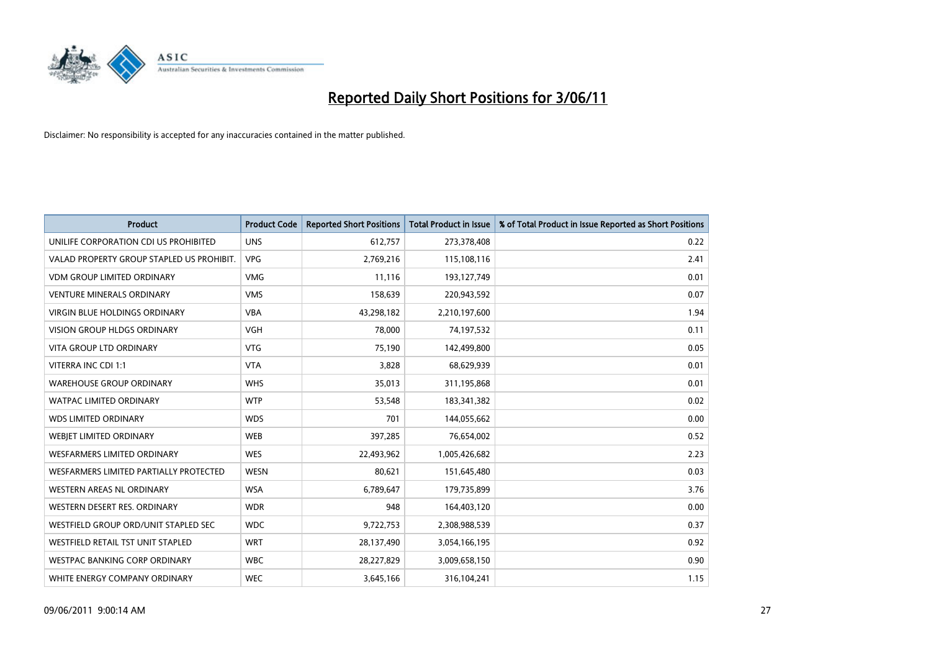

| <b>Product</b>                            | <b>Product Code</b> | <b>Reported Short Positions</b> | <b>Total Product in Issue</b> | % of Total Product in Issue Reported as Short Positions |
|-------------------------------------------|---------------------|---------------------------------|-------------------------------|---------------------------------------------------------|
| UNILIFE CORPORATION CDI US PROHIBITED     | <b>UNS</b>          | 612,757                         | 273,378,408                   | 0.22                                                    |
| VALAD PROPERTY GROUP STAPLED US PROHIBIT. | <b>VPG</b>          | 2,769,216                       | 115,108,116                   | 2.41                                                    |
| <b>VDM GROUP LIMITED ORDINARY</b>         | <b>VMG</b>          | 11,116                          | 193,127,749                   | 0.01                                                    |
| <b>VENTURE MINERALS ORDINARY</b>          | <b>VMS</b>          | 158,639                         | 220,943,592                   | 0.07                                                    |
| <b>VIRGIN BLUE HOLDINGS ORDINARY</b>      | <b>VBA</b>          | 43,298,182                      | 2,210,197,600                 | 1.94                                                    |
| <b>VISION GROUP HLDGS ORDINARY</b>        | <b>VGH</b>          | 78,000                          | 74,197,532                    | 0.11                                                    |
| <b>VITA GROUP LTD ORDINARY</b>            | <b>VTG</b>          | 75.190                          | 142,499,800                   | 0.05                                                    |
| VITERRA INC CDI 1:1                       | <b>VTA</b>          | 3,828                           | 68,629,939                    | 0.01                                                    |
| <b>WAREHOUSE GROUP ORDINARY</b>           | <b>WHS</b>          | 35,013                          | 311,195,868                   | 0.01                                                    |
| <b>WATPAC LIMITED ORDINARY</b>            | <b>WTP</b>          | 53,548                          | 183,341,382                   | 0.02                                                    |
| <b>WDS LIMITED ORDINARY</b>               | <b>WDS</b>          | 701                             | 144,055,662                   | 0.00                                                    |
| WEBJET LIMITED ORDINARY                   | <b>WEB</b>          | 397,285                         | 76,654,002                    | 0.52                                                    |
| <b>WESFARMERS LIMITED ORDINARY</b>        | <b>WES</b>          | 22,493,962                      | 1,005,426,682                 | 2.23                                                    |
| WESFARMERS LIMITED PARTIALLY PROTECTED    | <b>WESN</b>         | 80,621                          | 151,645,480                   | 0.03                                                    |
| WESTERN AREAS NL ORDINARY                 | <b>WSA</b>          | 6,789,647                       | 179,735,899                   | 3.76                                                    |
| WESTERN DESERT RES. ORDINARY              | <b>WDR</b>          | 948                             | 164,403,120                   | 0.00                                                    |
| WESTFIELD GROUP ORD/UNIT STAPLED SEC      | <b>WDC</b>          | 9,722,753                       | 2,308,988,539                 | 0.37                                                    |
| WESTFIELD RETAIL TST UNIT STAPLED         | <b>WRT</b>          | 28,137,490                      | 3,054,166,195                 | 0.92                                                    |
| <b>WESTPAC BANKING CORP ORDINARY</b>      | <b>WBC</b>          | 28,227,829                      | 3,009,658,150                 | 0.90                                                    |
| WHITE ENERGY COMPANY ORDINARY             | <b>WEC</b>          | 3,645,166                       | 316,104,241                   | 1.15                                                    |